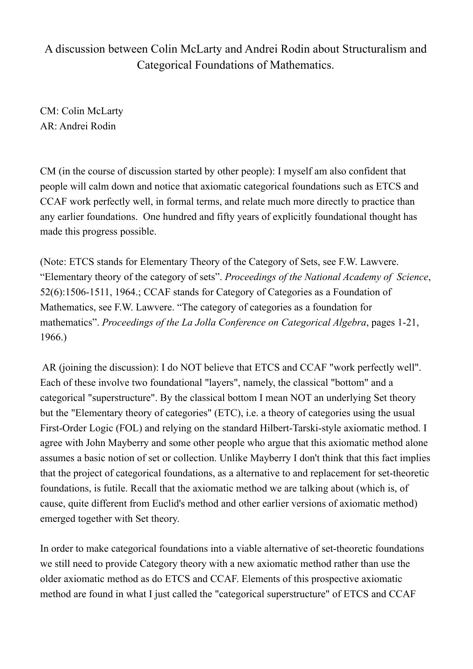## A discussion between Colin McLarty and Andrei Rodin about Structuralism and Categorical Foundations of Mathematics.

CM: Colin McLarty AR: Andrei Rodin

CM (in the course of discussion started by other people): I myself am also confident that people will calm down and notice that axiomatic categorical foundations such as ETCS and CCAF work perfectly well, in formal terms, and relate much more directly to practice than any earlier foundations. One hundred and fifty years of explicitly foundational thought has made this progress possible.

(Note: ETCS stands for Elementary Theory of the Category of Sets, see F.W. Lawvere. "Elementary theory of the category of sets". *Proceedings of the National Academy of Science*, 52(6):1506-1511, 1964.; CCAF stands for Category of Categories as a Foundation of Mathematics, see F.W. Lawvere. "The category of categories as a foundation for mathematics". *Proceedings of the La Jolla Conference on Categorical Algebra*, pages 1-21, 1966.)

AR (joining the discussion): I do NOT believe that ETCS and CCAF "work perfectly well". Each of these involve two foundational "layers", namely, the classical "bottom" and a categorical "superstructure". By the classical bottom I mean NOT an underlying Set theory but the "Elementary theory of categories" (ETC), i.e. a theory of categories using the usual First-Order Logic (FOL) and relying on the standard Hilbert-Tarski-style axiomatic method. I agree with John Mayberry and some other people who argue that this axiomatic method alone assumes a basic notion of set or collection. Unlike Mayberry I don't think that this fact implies that the project of categorical foundations, as a alternative to and replacement for set-theoretic foundations, is futile. Recall that the axiomatic method we are talking about (which is, of cause, quite different from Euclid's method and other earlier versions of axiomatic method) emerged together with Set theory.

In order to make categorical foundations into a viable alternative of set-theoretic foundations we still need to provide Category theory with a new axiomatic method rather than use the older axiomatic method as do ETCS and CCAF. Elements of this prospective axiomatic method are found in what I just called the "categorical superstructure" of ETCS and CCAF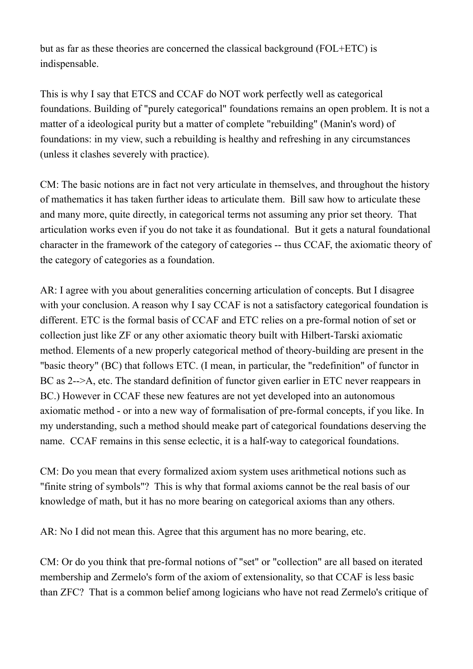but as far as these theories are concerned the classical background (FOL+ETC) is indispensable.

This is why I say that ETCS and CCAF do NOT work perfectly well as categorical foundations. Building of "purely categorical" foundations remains an open problem. It is not a matter of a ideological purity but a matter of complete "rebuilding" (Manin's word) of foundations: in my view, such a rebuilding is healthy and refreshing in any circumstances (unless it clashes severely with practice).

CM: The basic notions are in fact not very articulate in themselves, and throughout the history of mathematics it has taken further ideas to articulate them. Bill saw how to articulate these and many more, quite directly, in categorical terms not assuming any prior set theory. That articulation works even if you do not take it as foundational. But it gets a natural foundational character in the framework of the category of categories -- thus CCAF, the axiomatic theory of the category of categories as a foundation.

AR: I agree with you about generalities concerning articulation of concepts. But I disagree with your conclusion. A reason why I say CCAF is not a satisfactory categorical foundation is different. ETC is the formal basis of CCAF and ETC relies on a pre-formal notion of set or collection just like ZF or any other axiomatic theory built with Hilbert-Tarski axiomatic method. Elements of a new properly categorical method of theory-building are present in the "basic theory" (BC) that follows ETC. (I mean, in particular, the "redefinition" of functor in BC as 2-->A, etc. The standard definition of functor given earlier in ETC never reappears in BC.) However in CCAF these new features are not yet developed into an autonomous axiomatic method - or into a new way of formalisation of pre-formal concepts, if you like. In my understanding, such a method should meake part of categorical foundations deserving the name. CCAF remains in this sense eclectic, it is a half-way to categorical foundations.

CM: Do you mean that every formalized axiom system uses arithmetical notions such as "finite string of symbols"? This is why that formal axioms cannot be the real basis of our knowledge of math, but it has no more bearing on categorical axioms than any others.

AR: No I did not mean this. Agree that this argument has no more bearing, etc.

CM: Or do you think that pre-formal notions of "set" or "collection" are all based on iterated membership and Zermelo's form of the axiom of extensionality, so that CCAF is less basic than ZFC? That is a common belief among logicians who have not read Zermelo's critique of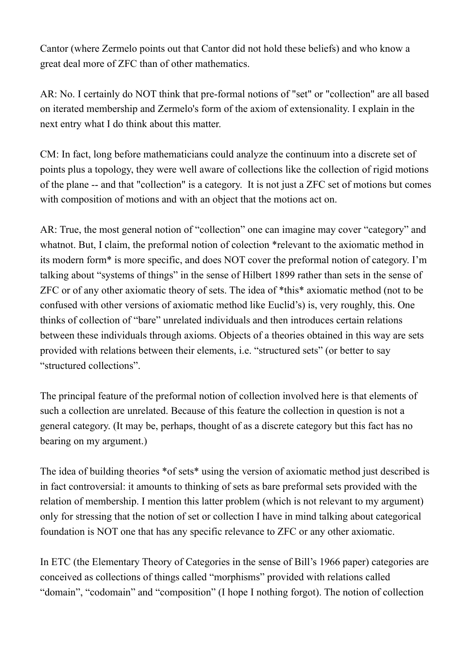Cantor (where Zermelo points out that Cantor did not hold these beliefs) and who know a great deal more of ZFC than of other mathematics.

AR: No. I certainly do NOT think that pre-formal notions of "set" or "collection" are all based on iterated membership and Zermelo's form of the axiom of extensionality. I explain in the next entry what I do think about this matter.

CM: In fact, long before mathematicians could analyze the continuum into a discrete set of points plus a topology, they were well aware of collections like the collection of rigid motions of the plane -- and that "collection" is a category. It is not just a ZFC set of motions but comes with composition of motions and with an object that the motions act on.

AR: True, the most general notion of "collection" one can imagine may cover "category" and whatnot. But, I claim, the preformal notion of colection \*relevant to the axiomatic method in its modern form\* is more specific, and does NOT cover the preformal notion of category. I'm talking about "systems of things" in the sense of Hilbert 1899 rather than sets in the sense of ZFC or of any other axiomatic theory of sets. The idea of \*this\* axiomatic method (not to be confused with other versions of axiomatic method like Euclid's) is, very roughly, this. One thinks of collection of "bare" unrelated individuals and then introduces certain relations between these individuals through axioms. Objects of a theories obtained in this way are sets provided with relations between their elements, i.e. "structured sets" (or better to say "structured collections".

The principal feature of the preformal notion of collection involved here is that elements of such a collection are unrelated. Because of this feature the collection in question is not a general category. (It may be, perhaps, thought of as a discrete category but this fact has no bearing on my argument.)

The idea of building theories \*of sets\* using the version of axiomatic method just described is in fact controversial: it amounts to thinking of sets as bare preformal sets provided with the relation of membership. I mention this latter problem (which is not relevant to my argument) only for stressing that the notion of set or collection I have in mind talking about categorical foundation is NOT one that has any specific relevance to ZFC or any other axiomatic.

In ETC (the Elementary Theory of Categories in the sense of Bill's 1966 paper) categories are conceived as collections of things called "morphisms" provided with relations called "domain", "codomain" and "composition" (I hope I nothing forgot). The notion of collection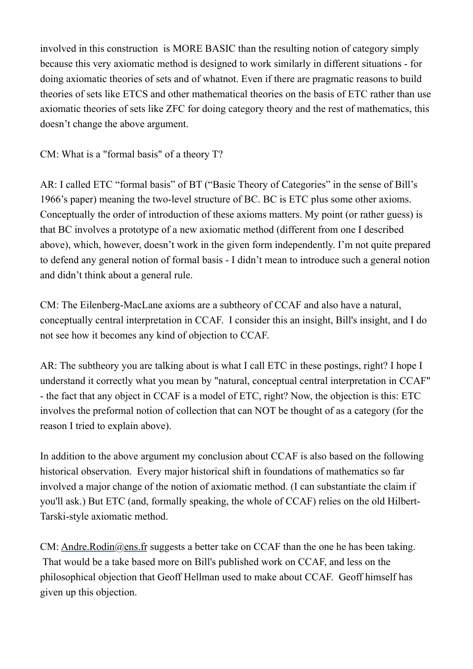involved in this construction is MORE BASIC than the resulting notion of category simply because this very axiomatic method is designed to work similarly in different situations - for doing axiomatic theories of sets and of whatnot. Even if there are pragmatic reasons to build theories of sets like ETCS and other mathematical theories on the basis of ETC rather than use axiomatic theories of sets like ZFC for doing category theory and the rest of mathematics, this doesn't change the above argument.

CM: What is a "formal basis" of a theory T?

AR: I called ETC "formal basis" of BT ("Basic Theory of Categories" in the sense of Bill's 1966's paper) meaning the two-level structure of BC. BC is ETC plus some other axioms. Conceptually the order of introduction of these axioms matters. My point (or rather guess) is that BC involves a prototype of a new axiomatic method (different from one I described above), which, however, doesn't work in the given form independently. I'm not quite prepared to defend any general notion of formal basis - I didn't mean to introduce such a general notion and didn't think about a general rule.

CM: The Eilenberg-MacLane axioms are a subtheory of CCAF and also have a natural, conceptually central interpretation in CCAF. I consider this an insight, Bill's insight, and I do not see how it becomes any kind of objection to CCAF.

AR: The subtheory you are talking about is what I call ETC in these postings, right? I hope I understand it correctly what you mean by "natural, conceptual central interpretation in CCAF" - the fact that any object in CCAF is a model of ETC, right? Now, the objection is this: ETC involves the preformal notion of collection that can NOT be thought of as a category (for the reason I tried to explain above).

In addition to the above argument my conclusion about CCAF is also based on the following historical observation. Every major historical shift in foundations of mathematics so far involved a major change of the notion of axiomatic method. (I can substantiate the claim if you'll ask.) But ETC (and, formally speaking, the whole of CCAF) relies on the old Hilbert-Tarski-style axiomatic method.

CM: Andre.Rodin@ens.fr suggests a better take on CCAF than the one he has been taking. That would be a take based more on Bill's published work on CCAF, and less on the philosophical objection that Geoff Hellman used to make about CCAF. Geoff himself has given up this objection.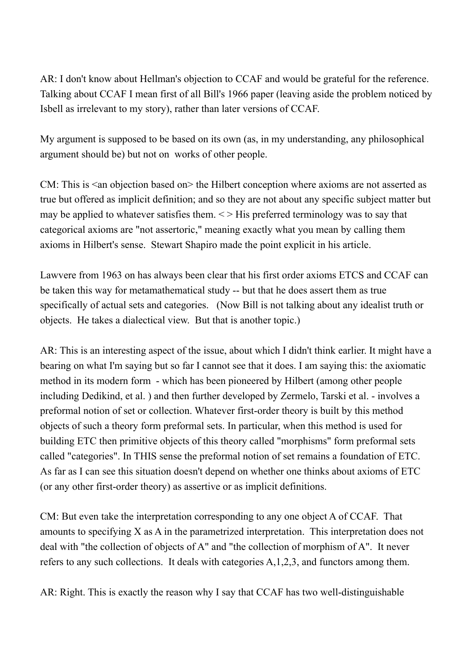AR: I don't know about Hellman's objection to CCAF and would be grateful for the reference. Talking about CCAF I mean first of all Bill's 1966 paper (leaving aside the problem noticed by Isbell as irrelevant to my story), rather than later versions of CCAF.

My argument is supposed to be based on its own (as, in my understanding, any philosophical argument should be) but not on works of other people.

CM: This is  $\leq$  an objection based on  $\geq$  the Hilbert conception where axioms are not asserted as true but offered as implicit definition; and so they are not about any specific subject matter but may be applied to whatever satisfies them.  $\leq$  His preferred terminology was to say that categorical axioms are "not assertoric," meaning exactly what you mean by calling them axioms in Hilbert's sense. Stewart Shapiro made the point explicit in his article.

Lawvere from 1963 on has always been clear that his first order axioms ETCS and CCAF can be taken this way for metamathematical study -- but that he does assert them as true specifically of actual sets and categories. (Now Bill is not talking about any idealist truth or objects. He takes a dialectical view. But that is another topic.)

AR: This is an interesting aspect of the issue, about which I didn't think earlier. It might have a bearing on what I'm saying but so far I cannot see that it does. I am saying this: the axiomatic method in its modern form - which has been pioneered by Hilbert (among other people including Dedikind, et al. ) and then further developed by Zermelo, Tarski et al. - involves a preformal notion of set or collection. Whatever first-order theory is built by this method objects of such a theory form preformal sets. In particular, when this method is used for building ETC then primitive objects of this theory called "morphisms" form preformal sets called "categories". In THIS sense the preformal notion of set remains a foundation of ETC. As far as I can see this situation doesn't depend on whether one thinks about axioms of ETC (or any other first-order theory) as assertive or as implicit definitions.

CM: But even take the interpretation corresponding to any one object A of CCAF. That amounts to specifying X as A in the parametrized interpretation. This interpretation does not deal with "the collection of objects of A" and "the collection of morphism of A". It never refers to any such collections. It deals with categories A,1,2,3, and functors among them.

AR: Right. This is exactly the reason why I say that CCAF has two well-distinguishable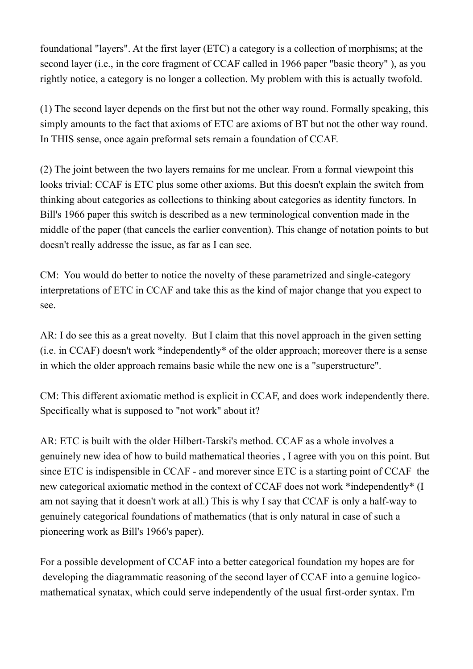foundational "layers". At the first layer (ETC) a category is a collection of morphisms; at the second layer (i.e., in the core fragment of CCAF called in 1966 paper "basic theory" ), as you rightly notice, a category is no longer a collection. My problem with this is actually twofold.

(1) The second layer depends on the first but not the other way round. Formally speaking, this simply amounts to the fact that axioms of ETC are axioms of BT but not the other way round. In THIS sense, once again preformal sets remain a foundation of CCAF.

(2) The joint between the two layers remains for me unclear. From a formal viewpoint this looks trivial: CCAF is ETC plus some other axioms. But this doesn't explain the switch from thinking about categories as collections to thinking about categories as identity functors. In Bill's 1966 paper this switch is described as a new terminological convention made in the middle of the paper (that cancels the earlier convention). This change of notation points to but doesn't really addresse the issue, as far as I can see.

CM: You would do better to notice the novelty of these parametrized and single-category interpretations of ETC in CCAF and take this as the kind of major change that you expect to see.

AR: I do see this as a great novelty. But I claim that this novel approach in the given setting (i.e. in CCAF) doesn't work \*independently\* of the older approach; moreover there is a sense in which the older approach remains basic while the new one is a "superstructure".

CM: This different axiomatic method is explicit in CCAF, and does work independently there. Specifically what is supposed to "not work" about it?

AR: ETC is built with the older Hilbert-Tarski's method. CCAF as a whole involves a genuinely new idea of how to build mathematical theories , I agree with you on this point. But since ETC is indispensible in CCAF - and morever since ETC is a starting point of CCAF the new categorical axiomatic method in the context of CCAF does not work \*independently\* (I am not saying that it doesn't work at all.) This is why I say that CCAF is only a half-way to genuinely categorical foundations of mathematics (that is only natural in case of such a pioneering work as Bill's 1966's paper).

For a possible development of CCAF into a better categorical foundation my hopes are for developing the diagrammatic reasoning of the second layer of CCAF into a genuine logicomathematical synatax, which could serve independently of the usual first-order syntax. I'm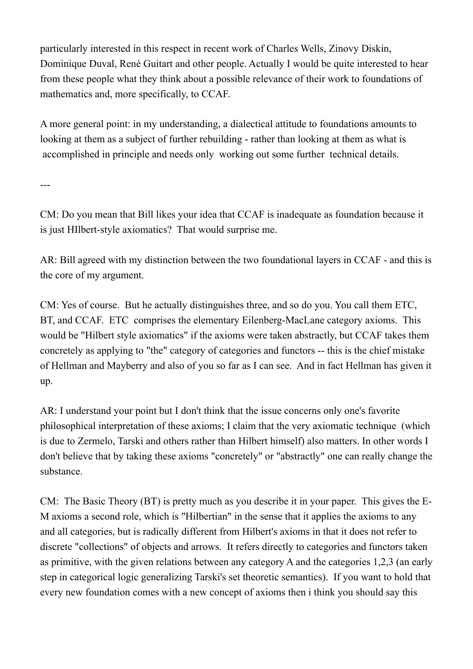particularly interested in this respect in recent work of Charles Wells, Zinovy Diskin, Dominique Duval, René Guitart and other people. Actually I would be quite interested to hear from these people what they think about a possible relevance of their work to foundations of mathematics and, more specifically, to CCAF.

A more general point: in my understanding, a dialectical attitude to foundations amounts to looking at them as a subject of further rebuilding - rather than looking at them as what is accomplished in principle and needs only working out some further technical details.

---

CM: Do you mean that Bill likes your idea that CCAF is inadequate as foundation because it is just HIlbert-style axiomatics? That would surprise me.

AR: Bill agreed with my distinction between the two foundational layers in CCAF - and this is the core of my argument.

CM: Yes of course. But he actually distinguishes three, and so do you. You call them ETC, BT, and CCAF. ETC comprises the elementary Eilenberg-MacLane category axioms. This would be "Hilbert style axiomatics" if the axioms were taken abstractly, but CCAF takes them concretely as applying to "the" category of categories and functors -- this is the chief mistake of Hellman and Mayberry and also of you so far as I can see. And in fact Hellman has given it up.

AR: I understand your point but I don't think that the issue concerns only one's favorite philosophical interpretation of these axioms; I claim that the very axiomatic technique (which is due to Zermelo, Tarski and others rather than Hilbert himself) also matters. In other words I don't believe that by taking these axioms "concretely" or "abstractly" one can really change the substance.

CM: The Basic Theory (BT) is pretty much as you describe it in your paper. This gives the E-M axioms a second role, which is "Hilbertian" in the sense that it applies the axioms to any and all categories, but is radically different from Hilbert's axioms in that it does not refer to discrete "collections" of objects and arrows. It refers directly to categories and functors taken as primitive, with the given relations between any category A and the categories 1,2,3 (an early step in categorical logic generalizing Tarski's set theoretic semantics). If you want to hold that every new foundation comes with a new concept of axioms then i think you should say this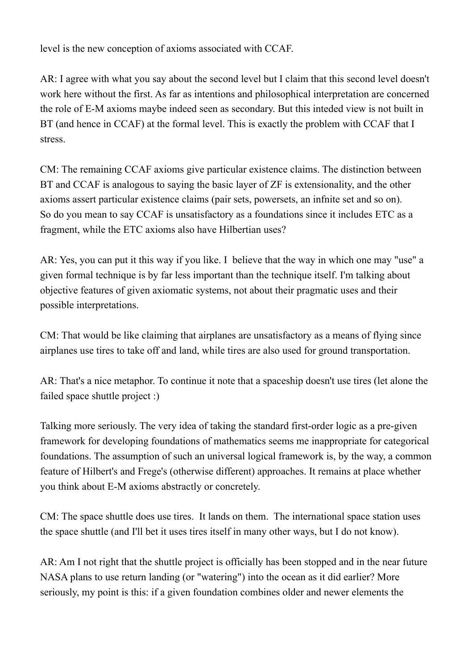level is the new conception of axioms associated with CCAF.

AR: I agree with what you say about the second level but I claim that this second level doesn't work here without the first. As far as intentions and philosophical interpretation are concerned the role of E-M axioms maybe indeed seen as secondary. But this inteded view is not built in BT (and hence in CCAF) at the formal level. This is exactly the problem with CCAF that I stress.

CM: The remaining CCAF axioms give particular existence claims. The distinction between BT and CCAF is analogous to saying the basic layer of ZF is extensionality, and the other axioms assert particular existence claims (pair sets, powersets, an infnite set and so on). So do you mean to say CCAF is unsatisfactory as a foundations since it includes ETC as a fragment, while the ETC axioms also have Hilbertian uses?

AR: Yes, you can put it this way if you like. I believe that the way in which one may "use" a given formal technique is by far less important than the technique itself. I'm talking about objective features of given axiomatic systems, not about their pragmatic uses and their possible interpretations.

CM: That would be like claiming that airplanes are unsatisfactory as a means of flying since airplanes use tires to take off and land, while tires are also used for ground transportation.

AR: That's a nice metaphor. To continue it note that a spaceship doesn't use tires (let alone the failed space shuttle project :)

Talking more seriously. The very idea of taking the standard first-order logic as a pre-given framework for developing foundations of mathematics seems me inappropriate for categorical foundations. The assumption of such an universal logical framework is, by the way, a common feature of Hilbert's and Frege's (otherwise different) approaches. It remains at place whether you think about E-M axioms abstractly or concretely.

CM: The space shuttle does use tires. It lands on them. The international space station uses the space shuttle (and I'll bet it uses tires itself in many other ways, but I do not know).

AR: Am I not right that the shuttle project is officially has been stopped and in the near future NASA plans to use return landing (or "watering") into the ocean as it did earlier? More seriously, my point is this: if a given foundation combines older and newer elements the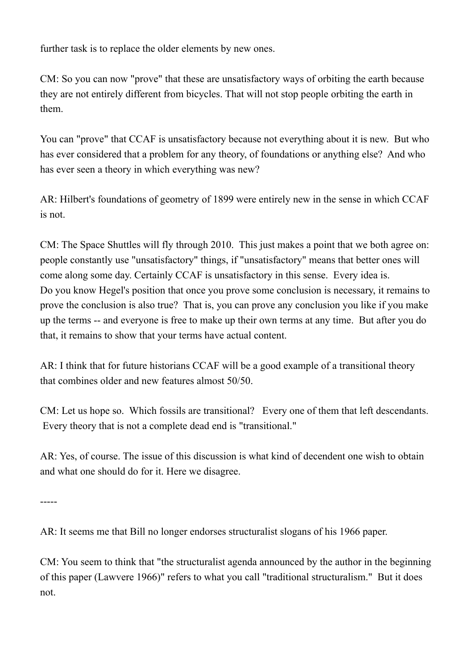further task is to replace the older elements by new ones.

CM: So you can now "prove" that these are unsatisfactory ways of orbiting the earth because they are not entirely different from bicycles. That will not stop people orbiting the earth in them.

You can "prove" that CCAF is unsatisfactory because not everything about it is new. But who has ever considered that a problem for any theory, of foundations or anything else? And who has ever seen a theory in which everything was new?

AR: Hilbert's foundations of geometry of 1899 were entirely new in the sense in which CCAF is not.

CM: The Space Shuttles will fly through 2010. This just makes a point that we both agree on: people constantly use "unsatisfactory" things, if "unsatisfactory" means that better ones will come along some day. Certainly CCAF is unsatisfactory in this sense. Every idea is. Do you know Hegel's position that once you prove some conclusion is necessary, it remains to prove the conclusion is also true? That is, you can prove any conclusion you like if you make up the terms -- and everyone is free to make up their own terms at any time. But after you do that, it remains to show that your terms have actual content.

AR: I think that for future historians CCAF will be a good example of a transitional theory that combines older and new features almost 50/50.

CM: Let us hope so. Which fossils are transitional? Every one of them that left descendants. Every theory that is not a complete dead end is "transitional."

AR: Yes, of course. The issue of this discussion is what kind of decendent one wish to obtain and what one should do for it. Here we disagree.

-----

AR: It seems me that Bill no longer endorses structuralist slogans of his 1966 paper.

CM: You seem to think that "the structuralist agenda announced by the author in the beginning of this paper (Lawvere 1966)" refers to what you call "traditional structuralism." But it does not.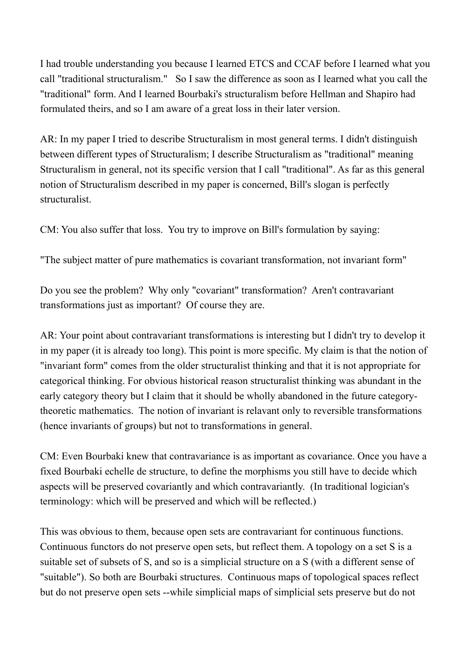I had trouble understanding you because I learned ETCS and CCAF before I learned what you call "traditional structuralism." So I saw the difference as soon as I learned what you call the "traditional" form. And I learned Bourbaki's structuralism before Hellman and Shapiro had formulated theirs, and so I am aware of a great loss in their later version.

AR: In my paper I tried to describe Structuralism in most general terms. I didn't distinguish between different types of Structuralism; I describe Structuralism as "traditional" meaning Structuralism in general, not its specific version that I call "traditional". As far as this general notion of Structuralism described in my paper is concerned, Bill's slogan is perfectly structuralist.

CM: You also suffer that loss. You try to improve on Bill's formulation by saying:

"The subject matter of pure mathematics is covariant transformation, not invariant form"

Do you see the problem? Why only "covariant" transformation? Aren't contravariant transformations just as important? Of course they are.

AR: Your point about contravariant transformations is interesting but I didn't try to develop it in my paper (it is already too long). This point is more specific. My claim is that the notion of "invariant form" comes from the older structuralist thinking and that it is not appropriate for categorical thinking. For obvious historical reason structuralist thinking was abundant in the early category theory but I claim that it should be wholly abandoned in the future categorytheoretic mathematics. The notion of invariant is relavant only to reversible transformations (hence invariants of groups) but not to transformations in general.

CM: Even Bourbaki knew that contravariance is as important as covariance. Once you have a fixed Bourbaki echelle de structure, to define the morphisms you still have to decide which aspects will be preserved covariantly and which contravariantly. (In traditional logician's terminology: which will be preserved and which will be reflected.)

This was obvious to them, because open sets are contravariant for continuous functions. Continuous functors do not preserve open sets, but reflect them. A topology on a set S is a suitable set of subsets of S, and so is a simplicial structure on a S (with a different sense of "suitable"). So both are Bourbaki structures. Continuous maps of topological spaces reflect but do not preserve open sets --while simplicial maps of simplicial sets preserve but do not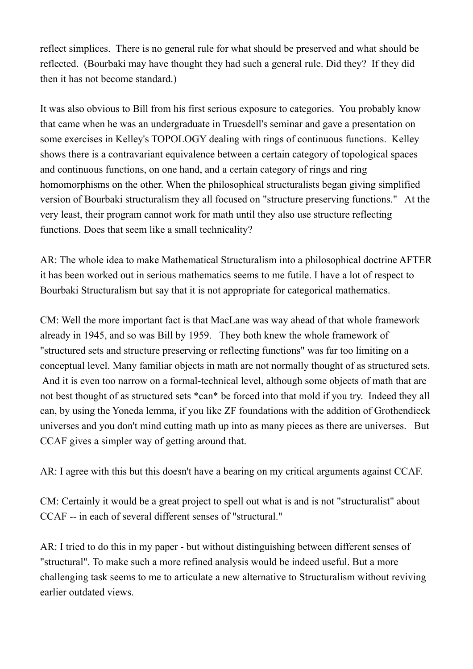reflect simplices. There is no general rule for what should be preserved and what should be reflected. (Bourbaki may have thought they had such a general rule. Did they? If they did then it has not become standard.)

It was also obvious to Bill from his first serious exposure to categories. You probably know that came when he was an undergraduate in Truesdell's seminar and gave a presentation on some exercises in Kelley's TOPOLOGY dealing with rings of continuous functions. Kelley shows there is a contravariant equivalence between a certain category of topological spaces and continuous functions, on one hand, and a certain category of rings and ring homomorphisms on the other. When the philosophical structuralists began giving simplified version of Bourbaki structuralism they all focused on "structure preserving functions." At the very least, their program cannot work for math until they also use structure reflecting functions. Does that seem like a small technicality?

AR: The whole idea to make Mathematical Structuralism into a philosophical doctrine AFTER it has been worked out in serious mathematics seems to me futile. I have a lot of respect to Bourbaki Structuralism but say that it is not appropriate for categorical mathematics.

CM: Well the more important fact is that MacLane was way ahead of that whole framework already in 1945, and so was Bill by 1959. They both knew the whole framework of "structured sets and structure preserving or reflecting functions" was far too limiting on a conceptual level. Many familiar objects in math are not normally thought of as structured sets. And it is even too narrow on a formal-technical level, although some objects of math that are not best thought of as structured sets \*can\* be forced into that mold if you try. Indeed they all can, by using the Yoneda lemma, if you like ZF foundations with the addition of Grothendieck universes and you don't mind cutting math up into as many pieces as there are universes. But CCAF gives a simpler way of getting around that.

AR: I agree with this but this doesn't have a bearing on my critical arguments against CCAF.

CM: Certainly it would be a great project to spell out what is and is not "structuralist" about CCAF -- in each of several different senses of "structural."

AR: I tried to do this in my paper - but without distinguishing between different senses of "structural". To make such a more refined analysis would be indeed useful. But a more challenging task seems to me to articulate a new alternative to Structuralism without reviving earlier outdated views.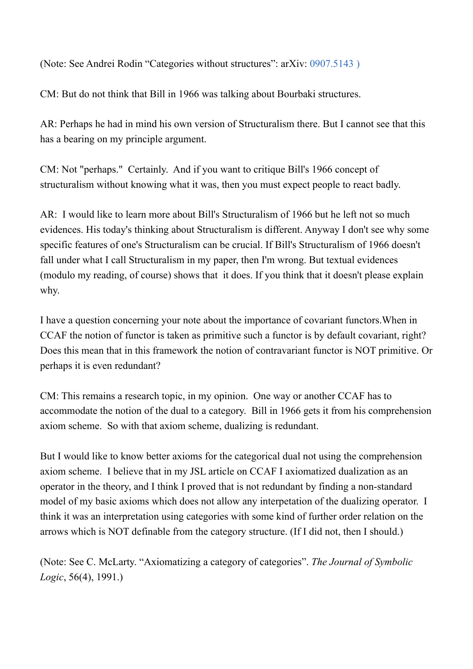(Note: See Andrei Rodin "Categories without structures": arXiv: 0907.5143 )

CM: But do not think that Bill in 1966 was talking about Bourbaki structures.

AR: Perhaps he had in mind his own version of Structuralism there. But I cannot see that this has a bearing on my principle argument.

CM: Not "perhaps." Certainly. And if you want to critique Bill's 1966 concept of structuralism without knowing what it was, then you must expect people to react badly.

AR: I would like to learn more about Bill's Structuralism of 1966 but he left not so much evidences. His today's thinking about Structuralism is different. Anyway I don't see why some specific features of one's Structuralism can be crucial. If Bill's Structuralism of 1966 doesn't fall under what I call Structuralism in my paper, then I'm wrong. But textual evidences (modulo my reading, of course) shows that it does. If you think that it doesn't please explain why.

I have a question concerning your note about the importance of covariant functors.When in CCAF the notion of functor is taken as primitive such a functor is by default covariant, right? Does this mean that in this framework the notion of contravariant functor is NOT primitive. Or perhaps it is even redundant?

CM: This remains a research topic, in my opinion. One way or another CCAF has to accommodate the notion of the dual to a category. Bill in 1966 gets it from his comprehension axiom scheme. So with that axiom scheme, dualizing is redundant.

But I would like to know better axioms for the categorical dual not using the comprehension axiom scheme. I believe that in my JSL article on CCAF I axiomatized dualization as an operator in the theory, and I think I proved that is not redundant by finding a non-standard model of my basic axioms which does not allow any interpetation of the dualizing operator. I think it was an interpretation using categories with some kind of further order relation on the arrows which is NOT definable from the category structure. (If I did not, then I should.)

(Note: See C. McLarty. "Axiomatizing a category of categories". *The Journal of Symbolic Logic*, 56(4), 1991.)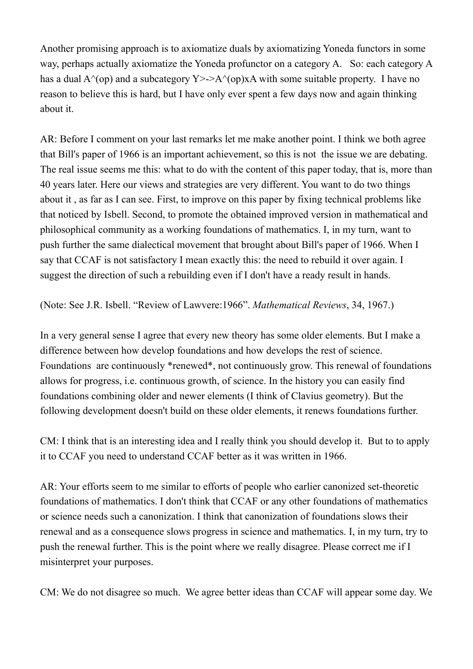Another promising approach is to axiomatize duals by axiomatizing Yoneda functors in some way, perhaps actually axiomatize the Yoneda profunctor on a category A. So: each category A has a dual  $A^{\wedge}$ (op) and a subcategory Y>->A $^{\wedge}$ (op)xA with some suitable property. I have no reason to believe this is hard, but I have only ever spent a few days now and again thinking about it.

AR: Before I comment on your last remarks let me make another point. I think we both agree that Bill's paper of 1966 is an important achievement, so this is not the issue we are debating. The real issue seems me this: what to do with the content of this paper today, that is, more than 40 years later. Here our views and strategies are very different. You want to do two things about it , as far as I can see. First, to improve on this paper by fixing technical problems like that noticed by Isbell. Second, to promote the obtained improved version in mathematical and philosophical community as a working foundations of mathematics. I, in my turn, want to push further the same dialectical movement that brought about Bill's paper of 1966. When I say that CCAF is not satisfactory I mean exactly this: the need to rebuild it over again. I suggest the direction of such a rebuilding even if I don't have a ready result in hands.

(Note: See J.R. Isbell. "Review of Lawvere:1966". *Mathematical Reviews*, 34, 1967.)

In a very general sense I agree that every new theory has some older elements. But I make a difference between how develop foundations and how develops the rest of science. Foundations are continuously \*renewed\*, not continuously grow. This renewal of foundations allows for progress, i.e. continuous growth, of science. In the history you can easily find foundations combining older and newer elements (I think of Clavius geometry). But the following development doesn't build on these older elements, it renews foundations further.

CM: I think that is an interesting idea and I really think you should develop it. But to to apply it to CCAF you need to understand CCAF better as it was written in 1966.

AR: Your efforts seem to me similar to efforts of people who earlier canonized set-theoretic foundations of mathematics. I don't think that CCAF or any other foundations of mathematics or science needs such a canonization. I think that canonization of foundations slows their renewal and as a consequence slows progress in science and mathematics. I, in my turn, try to push the renewal further. This is the point where we really disagree. Please correct me if I misinterpret your purposes.

CM: We do not disagree so much. We agree better ideas than CCAF will appear some day. We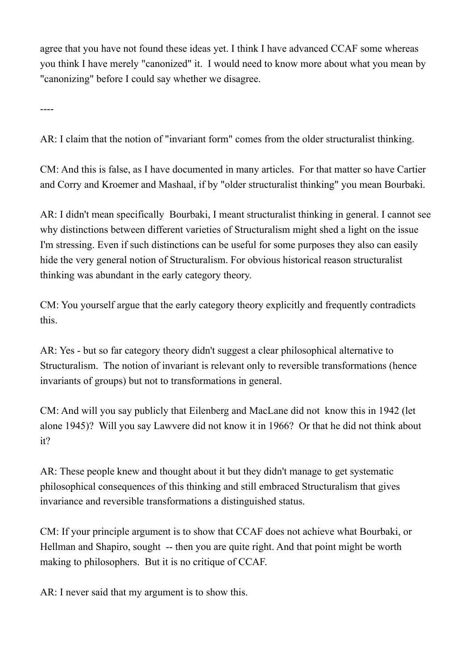agree that you have not found these ideas yet. I think I have advanced CCAF some whereas you think I have merely "canonized" it. I would need to know more about what you mean by "canonizing" before I could say whether we disagree.

----

AR: I claim that the notion of "invariant form" comes from the older structuralist thinking.

CM: And this is false, as I have documented in many articles. For that matter so have Cartier and Corry and Kroemer and Mashaal, if by "older structuralist thinking" you mean Bourbaki.

AR: I didn't mean specifically Bourbaki, I meant structuralist thinking in general. I cannot see why distinctions between different varieties of Structuralism might shed a light on the issue I'm stressing. Even if such distinctions can be useful for some purposes they also can easily hide the very general notion of Structuralism. For obvious historical reason structuralist thinking was abundant in the early category theory.

CM: You yourself argue that the early category theory explicitly and frequently contradicts this.

AR: Yes - but so far category theory didn't suggest a clear philosophical alternative to Structuralism. The notion of invariant is relevant only to reversible transformations (hence invariants of groups) but not to transformations in general.

CM: And will you say publicly that Eilenberg and MacLane did not know this in 1942 (let alone 1945)? Will you say Lawvere did not know it in 1966? Or that he did not think about it?

AR: These people knew and thought about it but they didn't manage to get systematic philosophical consequences of this thinking and still embraced Structuralism that gives invariance and reversible transformations a distinguished status.

CM: If your principle argument is to show that CCAF does not achieve what Bourbaki, or Hellman and Shapiro, sought -- then you are quite right. And that point might be worth making to philosophers. But it is no critique of CCAF.

AR: I never said that my argument is to show this.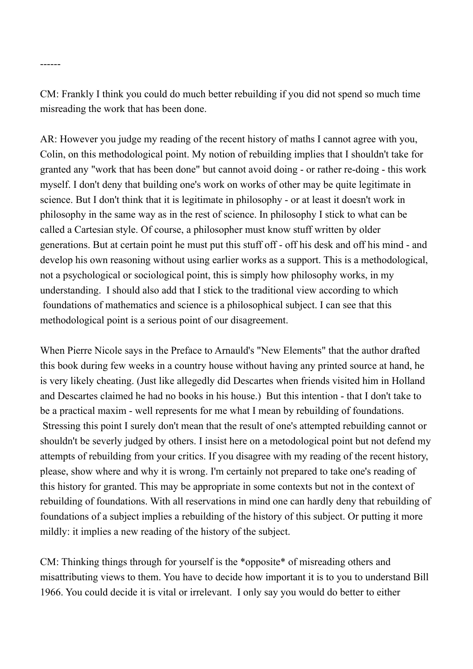CM: Frankly I think you could do much better rebuilding if you did not spend so much time misreading the work that has been done.

------

AR: However you judge my reading of the recent history of maths I cannot agree with you, Colin, on this methodological point. My notion of rebuilding implies that I shouldn't take for granted any "work that has been done" but cannot avoid doing - or rather re-doing - this work myself. I don't deny that building one's work on works of other may be quite legitimate in science. But I don't think that it is legitimate in philosophy - or at least it doesn't work in philosophy in the same way as in the rest of science. In philosophy I stick to what can be called a Cartesian style. Of course, a philosopher must know stuff written by older generations. But at certain point he must put this stuff off - off his desk and off his mind - and develop his own reasoning without using earlier works as a support. This is a methodological, not a psychological or sociological point, this is simply how philosophy works, in my understanding. I should also add that I stick to the traditional view according to which foundations of mathematics and science is a philosophical subject. I can see that this methodological point is a serious point of our disagreement.

When Pierre Nicole says in the Preface to Arnauld's "New Elements" that the author drafted this book during few weeks in a country house without having any printed source at hand, he is very likely cheating. (Just like allegedly did Descartes when friends visited him in Holland and Descartes claimed he had no books in his house.) But this intention - that I don't take to be a practical maxim - well represents for me what I mean by rebuilding of foundations. Stressing this point I surely don't mean that the result of one's attempted rebuilding cannot or shouldn't be severly judged by others. I insist here on a metodological point but not defend my attempts of rebuilding from your critics. If you disagree with my reading of the recent history, please, show where and why it is wrong. I'm certainly not prepared to take one's reading of this history for granted. This may be appropriate in some contexts but not in the context of rebuilding of foundations. With all reservations in mind one can hardly deny that rebuilding of foundations of a subject implies a rebuilding of the history of this subject. Or putting it more mildly: it implies a new reading of the history of the subject.

CM: Thinking things through for yourself is the \*opposite\* of misreading others and misattributing views to them. You have to decide how important it is to you to understand Bill 1966. You could decide it is vital or irrelevant. I only say you would do better to either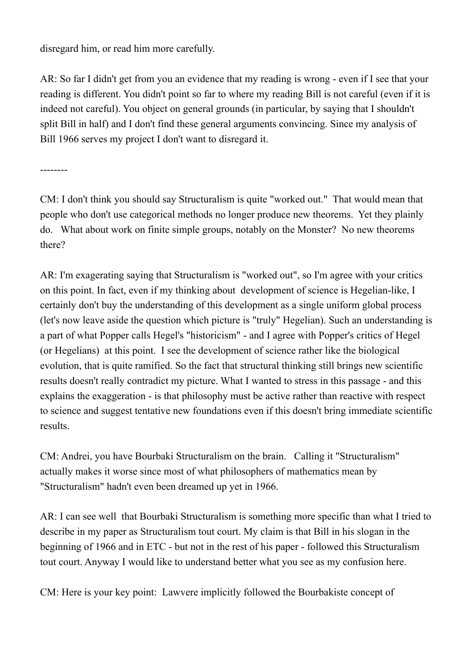disregard him, or read him more carefully.

AR: So far I didn't get from you an evidence that my reading is wrong - even if I see that your reading is different. You didn't point so far to where my reading Bill is not careful (even if it is indeed not careful). You object on general grounds (in particular, by saying that I shouldn't split Bill in half) and I don't find these general arguments convincing. Since my analysis of Bill 1966 serves my project I don't want to disregard it.

--------

CM: I don't think you should say Structuralism is quite "worked out." That would mean that people who don't use categorical methods no longer produce new theorems. Yet they plainly do. What about work on finite simple groups, notably on the Monster? No new theorems there?

AR: I'm exagerating saying that Structuralism is "worked out", so I'm agree with your critics on this point. In fact, even if my thinking about development of science is Hegelian-like, I certainly don't buy the understanding of this development as a single uniform global process (let's now leave aside the question which picture is "truly" Hegelian). Such an understanding is a part of what Popper calls Hegel's "historicism" - and I agree with Popper's critics of Hegel (or Hegelians) at this point. I see the development of science rather like the biological evolution, that is quite ramified. So the fact that structural thinking still brings new scientific results doesn't really contradict my picture. What I wanted to stress in this passage - and this explains the exaggeration - is that philosophy must be active rather than reactive with respect to science and suggest tentative new foundations even if this doesn't bring immediate scientific results.

CM: Andrei, you have Bourbaki Structuralism on the brain. Calling it "Structuralism" actually makes it worse since most of what philosophers of mathematics mean by "Structuralism" hadn't even been dreamed up yet in 1966.

AR: I can see well that Bourbaki Structuralism is something more specific than what I tried to describe in my paper as Structuralism tout court. My claim is that Bill in his slogan in the beginning of 1966 and in ETC - but not in the rest of his paper - followed this Structuralism tout court. Anyway I would like to understand better what you see as my confusion here.

CM: Here is your key point: Lawvere implicitly followed the Bourbakiste concept of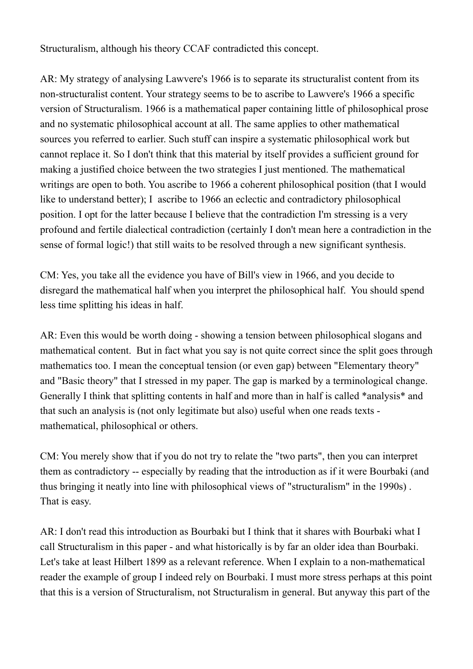Structuralism, although his theory CCAF contradicted this concept.

AR: My strategy of analysing Lawvere's 1966 is to separate its structuralist content from its non-structuralist content. Your strategy seems to be to ascribe to Lawvere's 1966 a specific version of Structuralism. 1966 is a mathematical paper containing little of philosophical prose and no systematic philosophical account at all. The same applies to other mathematical sources you referred to earlier. Such stuff can inspire a systematic philosophical work but cannot replace it. So I don't think that this material by itself provides a sufficient ground for making a justified choice between the two strategies I just mentioned. The mathematical writings are open to both. You ascribe to 1966 a coherent philosophical position (that I would like to understand better); I ascribe to 1966 an eclectic and contradictory philosophical position. I opt for the latter because I believe that the contradiction I'm stressing is a very profound and fertile dialectical contradiction (certainly I don't mean here a contradiction in the sense of formal logic!) that still waits to be resolved through a new significant synthesis.

CM: Yes, you take all the evidence you have of Bill's view in 1966, and you decide to disregard the mathematical half when you interpret the philosophical half. You should spend less time splitting his ideas in half.

AR: Even this would be worth doing - showing a tension between philosophical slogans and mathematical content. But in fact what you say is not quite correct since the split goes through mathematics too. I mean the conceptual tension (or even gap) between "Elementary theory" and "Basic theory" that I stressed in my paper. The gap is marked by a terminological change. Generally I think that splitting contents in half and more than in half is called \*analysis\* and that such an analysis is (not only legitimate but also) useful when one reads texts mathematical, philosophical or others.

CM: You merely show that if you do not try to relate the "two parts", then you can interpret them as contradictory -- especially by reading that the introduction as if it were Bourbaki (and thus bringing it neatly into line with philosophical views of "structuralism" in the 1990s) . That is easy.

AR: I don't read this introduction as Bourbaki but I think that it shares with Bourbaki what I call Structuralism in this paper - and what historically is by far an older idea than Bourbaki. Let's take at least Hilbert 1899 as a relevant reference. When I explain to a non-mathematical reader the example of group I indeed rely on Bourbaki. I must more stress perhaps at this point that this is a version of Structuralism, not Structuralism in general. But anyway this part of the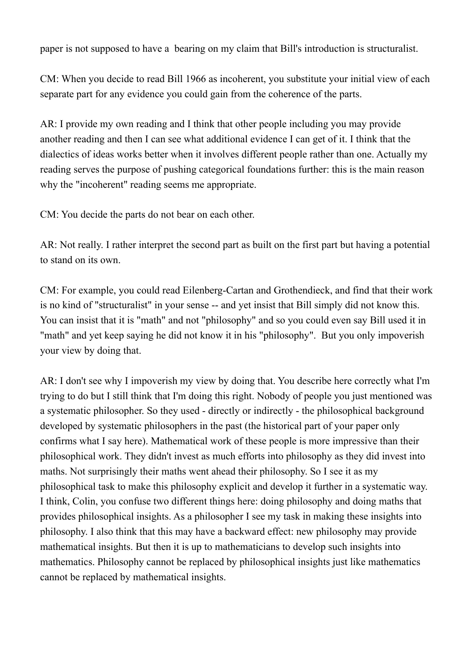paper is not supposed to have a bearing on my claim that Bill's introduction is structuralist.

CM: When you decide to read Bill 1966 as incoherent, you substitute your initial view of each separate part for any evidence you could gain from the coherence of the parts.

AR: I provide my own reading and I think that other people including you may provide another reading and then I can see what additional evidence I can get of it. I think that the dialectics of ideas works better when it involves different people rather than one. Actually my reading serves the purpose of pushing categorical foundations further: this is the main reason why the "incoherent" reading seems me appropriate.

CM: You decide the parts do not bear on each other.

AR: Not really. I rather interpret the second part as built on the first part but having a potential to stand on its own.

CM: For example, you could read Eilenberg-Cartan and Grothendieck, and find that their work is no kind of "structuralist" in your sense -- and yet insist that Bill simply did not know this. You can insist that it is "math" and not "philosophy" and so you could even say Bill used it in "math" and yet keep saying he did not know it in his "philosophy". But you only impoverish your view by doing that.

AR: I don't see why I impoverish my view by doing that. You describe here correctly what I'm trying to do but I still think that I'm doing this right. Nobody of people you just mentioned was a systematic philosopher. So they used - directly or indirectly - the philosophical background developed by systematic philosophers in the past (the historical part of your paper only confirms what I say here). Mathematical work of these people is more impressive than their philosophical work. They didn't invest as much efforts into philosophy as they did invest into maths. Not surprisingly their maths went ahead their philosophy. So I see it as my philosophical task to make this philosophy explicit and develop it further in a systematic way. I think, Colin, you confuse two different things here: doing philosophy and doing maths that provides philosophical insights. As a philosopher I see my task in making these insights into philosophy. I also think that this may have a backward effect: new philosophy may provide mathematical insights. But then it is up to mathematicians to develop such insights into mathematics. Philosophy cannot be replaced by philosophical insights just like mathematics cannot be replaced by mathematical insights.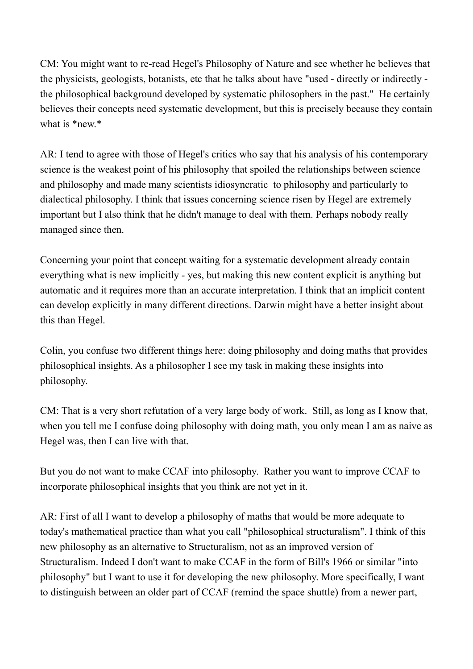CM: You might want to re-read Hegel's Philosophy of Nature and see whether he believes that the physicists, geologists, botanists, etc that he talks about have "used - directly or indirectly the philosophical background developed by systematic philosophers in the past." He certainly believes their concepts need systematic development, but this is precisely because they contain what is \*new.\*

AR: I tend to agree with those of Hegel's critics who say that his analysis of his contemporary science is the weakest point of his philosophy that spoiled the relationships between science and philosophy and made many scientists idiosyncratic to philosophy and particularly to dialectical philosophy. I think that issues concerning science risen by Hegel are extremely important but I also think that he didn't manage to deal with them. Perhaps nobody really managed since then.

Concerning your point that concept waiting for a systematic development already contain everything what is new implicitly - yes, but making this new content explicit is anything but automatic and it requires more than an accurate interpretation. I think that an implicit content can develop explicitly in many different directions. Darwin might have a better insight about this than Hegel.

Colin, you confuse two different things here: doing philosophy and doing maths that provides philosophical insights. As a philosopher I see my task in making these insights into philosophy.

CM: That is a very short refutation of a very large body of work. Still, as long as I know that, when you tell me I confuse doing philosophy with doing math, you only mean I am as naive as Hegel was, then I can live with that.

But you do not want to make CCAF into philosophy. Rather you want to improve CCAF to incorporate philosophical insights that you think are not yet in it.

AR: First of all I want to develop a philosophy of maths that would be more adequate to today's mathematical practice than what you call "philosophical structuralism". I think of this new philosophy as an alternative to Structuralism, not as an improved version of Structuralism. Indeed I don't want to make CCAF in the form of Bill's 1966 or similar "into philosophy" but I want to use it for developing the new philosophy. More specifically, I want to distinguish between an older part of CCAF (remind the space shuttle) from a newer part,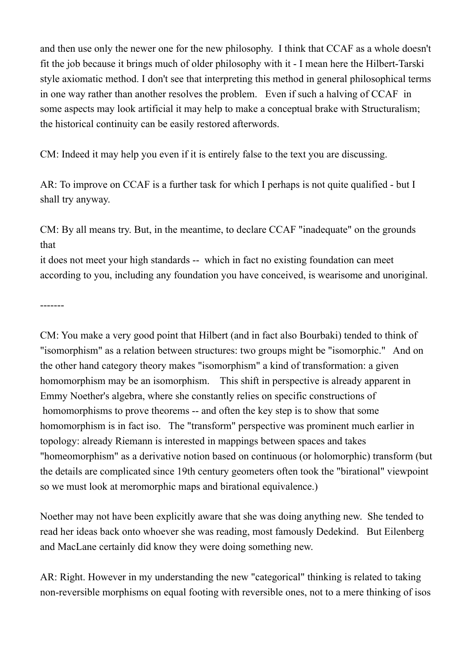and then use only the newer one for the new philosophy. I think that CCAF as a whole doesn't fit the job because it brings much of older philosophy with it - I mean here the Hilbert-Tarski style axiomatic method. I don't see that interpreting this method in general philosophical terms in one way rather than another resolves the problem. Even if such a halving of CCAF in some aspects may look artificial it may help to make a conceptual brake with Structuralism; the historical continuity can be easily restored afterwords.

CM: Indeed it may help you even if it is entirely false to the text you are discussing.

AR: To improve on CCAF is a further task for which I perhaps is not quite qualified - but I shall try anyway.

CM: By all means try. But, in the meantime, to declare CCAF "inadequate" on the grounds that

it does not meet your high standards -- which in fact no existing foundation can meet according to you, including any foundation you have conceived, is wearisome and unoriginal.

-------

CM: You make a very good point that Hilbert (and in fact also Bourbaki) tended to think of "isomorphism" as a relation between structures: two groups might be "isomorphic." And on the other hand category theory makes "isomorphism" a kind of transformation: a given homomorphism may be an isomorphism. This shift in perspective is already apparent in Emmy Noether's algebra, where she constantly relies on specific constructions of homomorphisms to prove theorems -- and often the key step is to show that some homomorphism is in fact iso. The "transform" perspective was prominent much earlier in topology: already Riemann is interested in mappings between spaces and takes "homeomorphism" as a derivative notion based on continuous (or holomorphic) transform (but the details are complicated since 19th century geometers often took the "birational" viewpoint so we must look at meromorphic maps and birational equivalence.)

Noether may not have been explicitly aware that she was doing anything new. She tended to read her ideas back onto whoever she was reading, most famously Dedekind. But Eilenberg and MacLane certainly did know they were doing something new.

AR: Right. However in my understanding the new "categorical" thinking is related to taking non-reversible morphisms on equal footing with reversible ones, not to a mere thinking of isos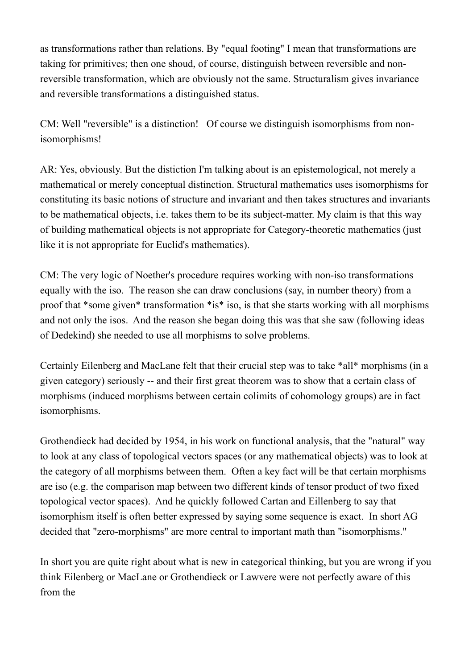as transformations rather than relations. By "equal footing" I mean that transformations are taking for primitives; then one shoud, of course, distinguish between reversible and nonreversible transformation, which are obviously not the same. Structuralism gives invariance and reversible transformations a distinguished status.

CM: Well "reversible" is a distinction! Of course we distinguish isomorphisms from nonisomorphisms!

AR: Yes, obviously. But the distiction I'm talking about is an epistemological, not merely a mathematical or merely conceptual distinction. Structural mathematics uses isomorphisms for constituting its basic notions of structure and invariant and then takes structures and invariants to be mathematical objects, i.e. takes them to be its subject-matter. My claim is that this way of building mathematical objects is not appropriate for Category-theoretic mathematics (just like it is not appropriate for Euclid's mathematics).

CM: The very logic of Noether's procedure requires working with non-iso transformations equally with the iso. The reason she can draw conclusions (say, in number theory) from a proof that \*some given\* transformation \*is\* iso, is that she starts working with all morphisms and not only the isos. And the reason she began doing this was that she saw (following ideas of Dedekind) she needed to use all morphisms to solve problems.

Certainly Eilenberg and MacLane felt that their crucial step was to take \*all\* morphisms (in a given category) seriously -- and their first great theorem was to show that a certain class of morphisms (induced morphisms between certain colimits of cohomology groups) are in fact isomorphisms.

Grothendieck had decided by 1954, in his work on functional analysis, that the "natural" way to look at any class of topological vectors spaces (or any mathematical objects) was to look at the category of all morphisms between them. Often a key fact will be that certain morphisms are iso (e.g. the comparison map between two different kinds of tensor product of two fixed topological vector spaces). And he quickly followed Cartan and Eillenberg to say that isomorphism itself is often better expressed by saying some sequence is exact. In short AG decided that "zero-morphisms" are more central to important math than "isomorphisms."

In short you are quite right about what is new in categorical thinking, but you are wrong if you think Eilenberg or MacLane or Grothendieck or Lawvere were not perfectly aware of this from the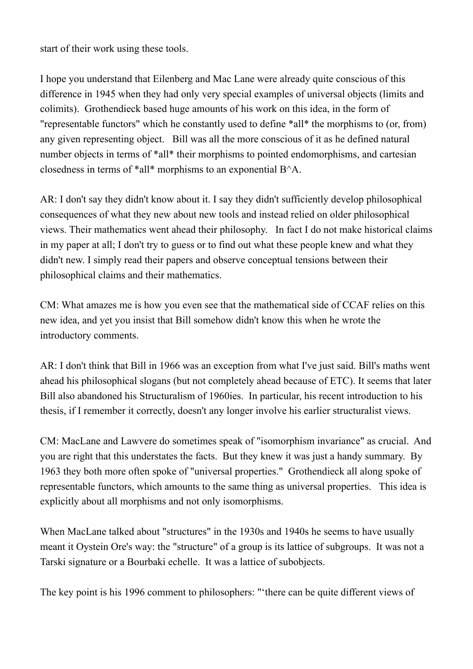start of their work using these tools.

I hope you understand that Eilenberg and Mac Lane were already quite conscious of this difference in 1945 when they had only very special examples of universal objects (limits and colimits). Grothendieck based huge amounts of his work on this idea, in the form of "representable functors" which he constantly used to define \*all\* the morphisms to (or, from) any given representing object. Bill was all the more conscious of it as he defined natural number objects in terms of \*all\* their morphisms to pointed endomorphisms, and cartesian closedness in terms of \*all\* morphisms to an exponential B^A.

AR: I don't say they didn't know about it. I say they didn't sufficiently develop philosophical consequences of what they new about new tools and instead relied on older philosophical views. Their mathematics went ahead their philosophy. In fact I do not make historical claims in my paper at all; I don't try to guess or to find out what these people knew and what they didn't new. I simply read their papers and observe conceptual tensions between their philosophical claims and their mathematics.

CM: What amazes me is how you even see that the mathematical side of CCAF relies on this new idea, and yet you insist that Bill somehow didn't know this when he wrote the introductory comments.

AR: I don't think that Bill in 1966 was an exception from what I've just said. Bill's maths went ahead his philosophical slogans (but not completely ahead because of ETC). It seems that later Bill also abandoned his Structuralism of 1960ies. In particular, his recent introduction to his thesis, if I remember it correctly, doesn't any longer involve his earlier structuralist views.

CM: MacLane and Lawvere do sometimes speak of "isomorphism invariance" as crucial. And you are right that this understates the facts. But they knew it was just a handy summary. By 1963 they both more often spoke of "universal properties." Grothendieck all along spoke of representable functors, which amounts to the same thing as universal properties. This idea is explicitly about all morphisms and not only isomorphisms.

When MacLane talked about "structures" in the 1930s and 1940s he seems to have usually meant it Oystein Ore's way: the "structure" of a group is its lattice of subgroups. It was not a Tarski signature or a Bourbaki echelle. It was a lattice of subobjects.

The key point is his 1996 comment to philosophers: "'there can be quite different views of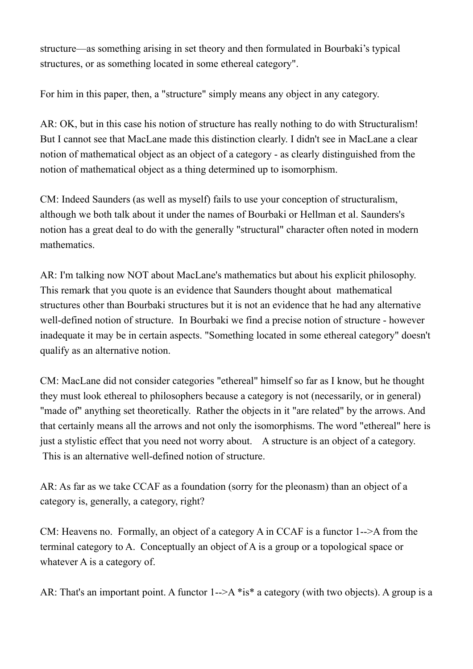structure—as something arising in set theory and then formulated in Bourbaki's typical structures, or as something located in some ethereal category".

For him in this paper, then, a "structure" simply means any object in any category.

AR: OK, but in this case his notion of structure has really nothing to do with Structuralism! But I cannot see that MacLane made this distinction clearly. I didn't see in MacLane a clear notion of mathematical object as an object of a category - as clearly distinguished from the notion of mathematical object as a thing determined up to isomorphism.

CM: Indeed Saunders (as well as myself) fails to use your conception of structuralism, although we both talk about it under the names of Bourbaki or Hellman et al. Saunders's notion has a great deal to do with the generally "structural" character often noted in modern mathematics.

AR: I'm talking now NOT about MacLane's mathematics but about his explicit philosophy. This remark that you quote is an evidence that Saunders thought about mathematical structures other than Bourbaki structures but it is not an evidence that he had any alternative well-defined notion of structure. In Bourbaki we find a precise notion of structure - however inadequate it may be in certain aspects. "Something located in some ethereal category" doesn't qualify as an alternative notion.

CM: MacLane did not consider categories "ethereal" himself so far as I know, but he thought they must look ethereal to philosophers because a category is not (necessarily, or in general) "made of" anything set theoretically. Rather the objects in it "are related" by the arrows. And that certainly means all the arrows and not only the isomorphisms. The word "ethereal" here is just a stylistic effect that you need not worry about. A structure is an object of a category. This is an alternative well-defined notion of structure.

AR: As far as we take CCAF as a foundation (sorry for the pleonasm) than an object of a category is, generally, a category, right?

CM: Heavens no. Formally, an object of a category A in CCAF is a functor 1-->A from the terminal category to A. Conceptually an object of A is a group or a topological space or whatever A is a category of.

AR: That's an important point. A functor 1-->A \*is\* a category (with two objects). A group is a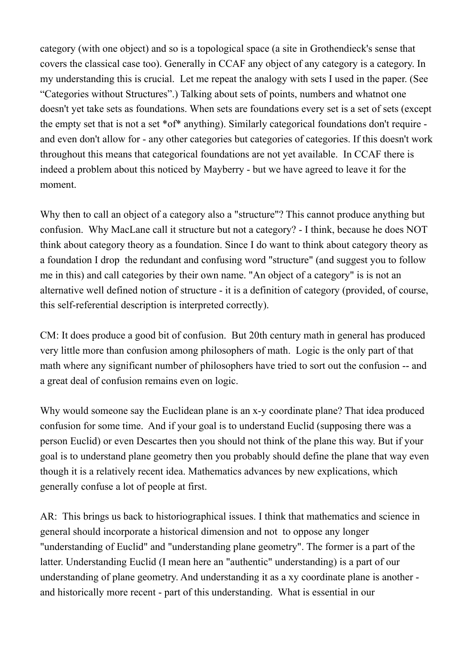category (with one object) and so is a topological space (a site in Grothendieck's sense that covers the classical case too). Generally in CCAF any object of any category is a category. In my understanding this is crucial. Let me repeat the analogy with sets I used in the paper. (See "Categories without Structures".) Talking about sets of points, numbers and whatnot one doesn't yet take sets as foundations. When sets are foundations every set is a set of sets (except the empty set that is not a set \*of\* anything). Similarly categorical foundations don't require and even don't allow for - any other categories but categories of categories. If this doesn't work throughout this means that categorical foundations are not yet available. In CCAF there is indeed a problem about this noticed by Mayberry - but we have agreed to leave it for the moment.

Why then to call an object of a category also a "structure"? This cannot produce anything but confusion. Why MacLane call it structure but not a category? - I think, because he does NOT think about category theory as a foundation. Since I do want to think about category theory as a foundation I drop the redundant and confusing word "structure" (and suggest you to follow me in this) and call categories by their own name. "An object of a category" is is not an alternative well defined notion of structure - it is a definition of category (provided, of course, this self-referential description is interpreted correctly).

CM: It does produce a good bit of confusion. But 20th century math in general has produced very little more than confusion among philosophers of math. Logic is the only part of that math where any significant number of philosophers have tried to sort out the confusion -- and a great deal of confusion remains even on logic.

Why would someone say the Euclidean plane is an x-y coordinate plane? That idea produced confusion for some time. And if your goal is to understand Euclid (supposing there was a person Euclid) or even Descartes then you should not think of the plane this way. But if your goal is to understand plane geometry then you probably should define the plane that way even though it is a relatively recent idea. Mathematics advances by new explications, which generally confuse a lot of people at first.

AR: This brings us back to historiographical issues. I think that mathematics and science in general should incorporate a historical dimension and not to oppose any longer "understanding of Euclid" and "understanding plane geometry". The former is a part of the latter. Understanding Euclid (I mean here an "authentic" understanding) is a part of our understanding of plane geometry. And understanding it as a xy coordinate plane is another and historically more recent - part of this understanding. What is essential in our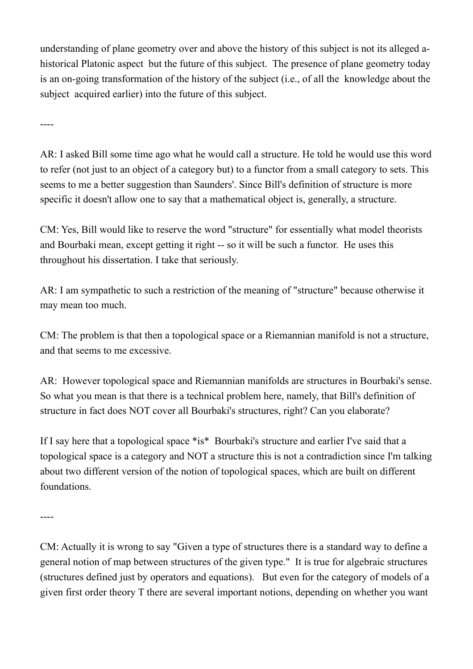understanding of plane geometry over and above the history of this subject is not its alleged ahistorical Platonic aspect but the future of this subject. The presence of plane geometry today is an on-going transformation of the history of the subject (i.e., of all the knowledge about the subject acquired earlier) into the future of this subject.

----

AR: I asked Bill some time ago what he would call a structure. He told he would use this word to refer (not just to an object of a category but) to a functor from a small category to sets. This seems to me a better suggestion than Saunders'. Since Bill's definition of structure is more specific it doesn't allow one to say that a mathematical object is, generally, a structure.

CM: Yes, Bill would like to reserve the word "structure" for essentially what model theorists and Bourbaki mean, except getting it right -- so it will be such a functor. He uses this throughout his dissertation. I take that seriously.

AR: I am sympathetic to such a restriction of the meaning of "structure" because otherwise it may mean too much.

CM: The problem is that then a topological space or a Riemannian manifold is not a structure, and that seems to me excessive.

AR: However topological space and Riemannian manifolds are structures in Bourbaki's sense. So what you mean is that there is a technical problem here, namely, that Bill's definition of structure in fact does NOT cover all Bourbaki's structures, right? Can you elaborate?

If I say here that a topological space \*is\* Bourbaki's structure and earlier I've said that a topological space is a category and NOT a structure this is not a contradiction since I'm talking about two different version of the notion of topological spaces, which are built on different foundations.

----

CM: Actually it is wrong to say "Given a type of structures there is a standard way to define a general notion of map between structures of the given type." It is true for algebraic structures (structures defined just by operators and equations). But even for the category of models of a given first order theory T there are several important notions, depending on whether you want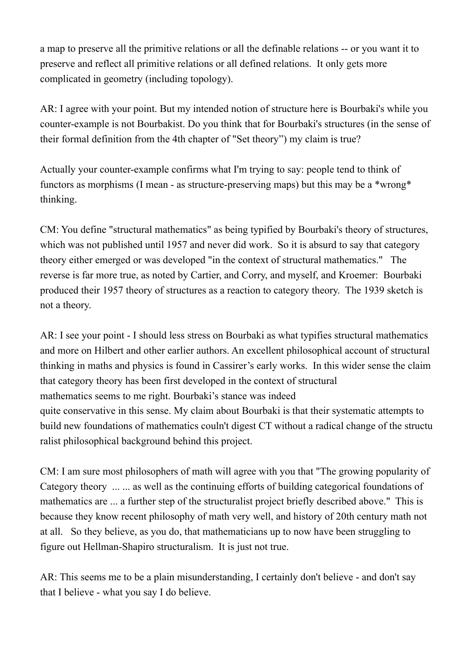a map to preserve all the primitive relations or all the definable relations -- or you want it to preserve and reflect all primitive relations or all defined relations. It only gets more complicated in geometry (including topology).

AR: I agree with your point. But my intended notion of structure here is Bourbaki's while you counter-example is not Bourbakist. Do you think that for Bourbaki's structures (in the sense of their formal definition from the 4th chapter of "Set theory") my claim is true?

Actually your counter-example confirms what I'm trying to say: people tend to think of functors as morphisms (I mean - as structure-preserving maps) but this may be a \*wrong\* thinking.

CM: You define "structural mathematics" as being typified by Bourbaki's theory of structures, which was not published until 1957 and never did work. So it is absurd to say that category theory either emerged or was developed "in the context of structural mathematics." The reverse is far more true, as noted by Cartier, and Corry, and myself, and Kroemer: Bourbaki produced their 1957 theory of structures as a reaction to category theory. The 1939 sketch is not a theory.

AR: I see your point - I should less stress on Bourbaki as what typifies structural mathematics and more on Hilbert and other earlier authors. An excellent philosophical account of structural thinking in maths and physics is found in Cassirer's early works. In this wider sense the claim that category theory has been first developed in the context of structural mathematics seems to me right. Bourbaki's stance was indeed quite conservative in this sense. My claim about Bourbaki is that their systematic attempts to build new foundations of mathematics couln't digest CT without a radical change of the structu ralist philosophical background behind this project.

CM: I am sure most philosophers of math will agree with you that "The growing popularity of Category theory ... ... as well as the continuing efforts of building categorical foundations of mathematics are ... a further step of the structuralist project briefly described above." This is because they know recent philosophy of math very well, and history of 20th century math not at all. So they believe, as you do, that mathematicians up to now have been struggling to figure out Hellman-Shapiro structuralism. It is just not true.

AR: This seems me to be a plain misunderstanding, I certainly don't believe - and don't say that I believe - what you say I do believe.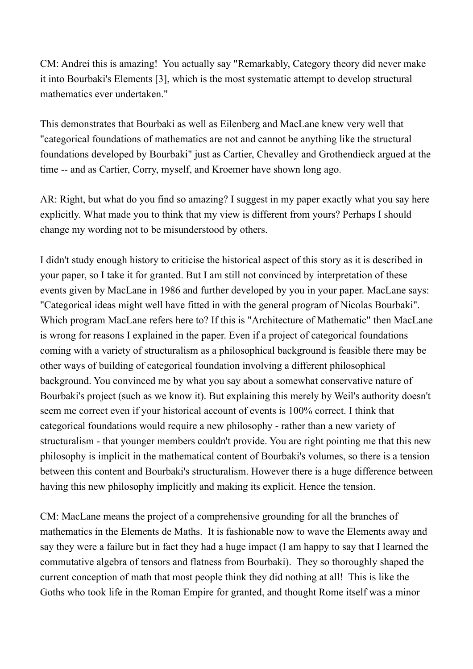CM: Andrei this is amazing! You actually say "Remarkably, Category theory did never make it into Bourbaki's Elements [3], which is the most systematic attempt to develop structural mathematics ever undertaken."

This demonstrates that Bourbaki as well as Eilenberg and MacLane knew very well that "categorical foundations of mathematics are not and cannot be anything like the structural foundations developed by Bourbaki" just as Cartier, Chevalley and Grothendieck argued at the time -- and as Cartier, Corry, myself, and Kroemer have shown long ago.

AR: Right, but what do you find so amazing? I suggest in my paper exactly what you say here explicitly. What made you to think that my view is different from yours? Perhaps I should change my wording not to be misunderstood by others.

I didn't study enough history to criticise the historical aspect of this story as it is described in your paper, so I take it for granted. But I am still not convinced by interpretation of these events given by MacLane in 1986 and further developed by you in your paper. MacLane says: "Categorical ideas might well have fitted in with the general program of Nicolas Bourbaki". Which program MacLane refers here to? If this is "Architecture of Mathematic" then MacLane is wrong for reasons I explained in the paper. Even if a project of categorical foundations coming with a variety of structuralism as a philosophical background is feasible there may be other ways of building of categorical foundation involving a different philosophical background. You convinced me by what you say about a somewhat conservative nature of Bourbaki's project (such as we know it). But explaining this merely by Weil's authority doesn't seem me correct even if your historical account of events is 100% correct. I think that categorical foundations would require a new philosophy - rather than a new variety of structuralism - that younger members couldn't provide. You are right pointing me that this new philosophy is implicit in the mathematical content of Bourbaki's volumes, so there is a tension between this content and Bourbaki's structuralism. However there is a huge difference between having this new philosophy implicitly and making its explicit. Hence the tension.

CM: MacLane means the project of a comprehensive grounding for all the branches of mathematics in the Elements de Maths. It is fashionable now to wave the Elements away and say they were a failure but in fact they had a huge impact (I am happy to say that I learned the commutative algebra of tensors and flatness from Bourbaki). They so thoroughly shaped the current conception of math that most people think they did nothing at all! This is like the Goths who took life in the Roman Empire for granted, and thought Rome itself was a minor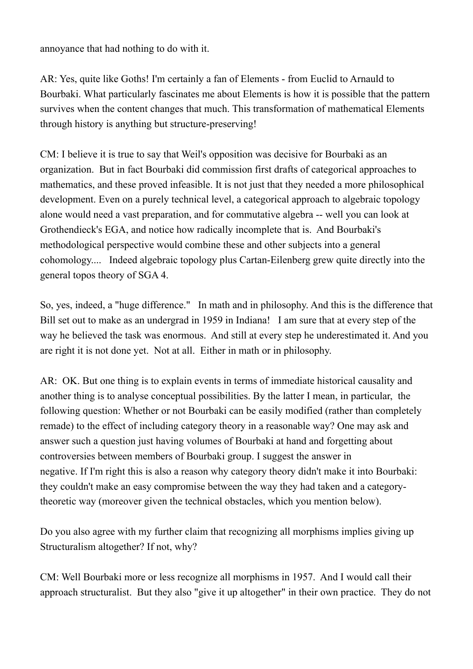annoyance that had nothing to do with it.

AR: Yes, quite like Goths! I'm certainly a fan of Elements - from Euclid to Arnauld to Bourbaki. What particularly fascinates me about Elements is how it is possible that the pattern survives when the content changes that much. This transformation of mathematical Elements through history is anything but structure-preserving!

CM: I believe it is true to say that Weil's opposition was decisive for Bourbaki as an organization. But in fact Bourbaki did commission first drafts of categorical approaches to mathematics, and these proved infeasible. It is not just that they needed a more philosophical development. Even on a purely technical level, a categorical approach to algebraic topology alone would need a vast preparation, and for commutative algebra -- well you can look at Grothendieck's EGA, and notice how radically incomplete that is. And Bourbaki's methodological perspective would combine these and other subjects into a general cohomology.... Indeed algebraic topology plus Cartan-Eilenberg grew quite directly into the general topos theory of SGA 4.

So, yes, indeed, a "huge difference." In math and in philosophy. And this is the difference that Bill set out to make as an undergrad in 1959 in Indiana! I am sure that at every step of the way he believed the task was enormous. And still at every step he underestimated it. And you are right it is not done yet. Not at all. Either in math or in philosophy.

AR: OK. But one thing is to explain events in terms of immediate historical causality and another thing is to analyse conceptual possibilities. By the latter I mean, in particular, the following question: Whether or not Bourbaki can be easily modified (rather than completely remade) to the effect of including category theory in a reasonable way? One may ask and answer such a question just having volumes of Bourbaki at hand and forgetting about controversies between members of Bourbaki group. I suggest the answer in negative. If I'm right this is also a reason why category theory didn't make it into Bourbaki: they couldn't make an easy compromise between the way they had taken and a categorytheoretic way (moreover given the technical obstacles, which you mention below).

Do you also agree with my further claim that recognizing all morphisms implies giving up Structuralism altogether? If not, why?

CM: Well Bourbaki more or less recognize all morphisms in 1957. And I would call their approach structuralist. But they also "give it up altogether" in their own practice. They do not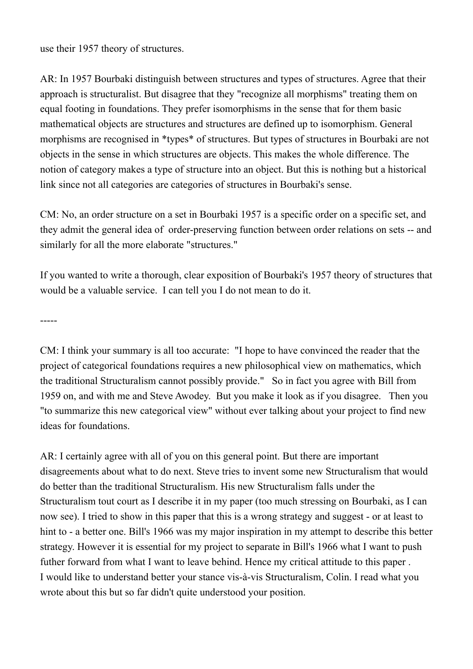use their 1957 theory of structures.

AR: In 1957 Bourbaki distinguish between structures and types of structures. Agree that their approach is structuralist. But disagree that they "recognize all morphisms" treating them on equal footing in foundations. They prefer isomorphisms in the sense that for them basic mathematical objects are structures and structures are defined up to isomorphism. General morphisms are recognised in \*types\* of structures. But types of structures in Bourbaki are not objects in the sense in which structures are objects. This makes the whole difference. The notion of category makes a type of structure into an object. But this is nothing but a historical link since not all categories are categories of structures in Bourbaki's sense.

CM: No, an order structure on a set in Bourbaki 1957 is a specific order on a specific set, and they admit the general idea of order-preserving function between order relations on sets -- and similarly for all the more elaborate "structures."

If you wanted to write a thorough, clear exposition of Bourbaki's 1957 theory of structures that would be a valuable service. I can tell you I do not mean to do it.

-----

CM: I think your summary is all too accurate: "I hope to have convinced the reader that the project of categorical foundations requires a new philosophical view on mathematics, which the traditional Structuralism cannot possibly provide." So in fact you agree with Bill from 1959 on, and with me and Steve Awodey. But you make it look as if you disagree. Then you "to summarize this new categorical view" without ever talking about your project to find new ideas for foundations.

AR: I certainly agree with all of you on this general point. But there are important disagreements about what to do next. Steve tries to invent some new Structuralism that would do better than the traditional Structuralism. His new Structuralism falls under the Structuralism tout court as I describe it in my paper (too much stressing on Bourbaki, as I can now see). I tried to show in this paper that this is a wrong strategy and suggest - or at least to hint to - a better one. Bill's 1966 was my major inspiration in my attempt to describe this better strategy. However it is essential for my project to separate in Bill's 1966 what I want to push futher forward from what I want to leave behind. Hence my critical attitude to this paper . I would like to understand better your stance vis-à-vis Structuralism, Colin. I read what you wrote about this but so far didn't quite understood your position.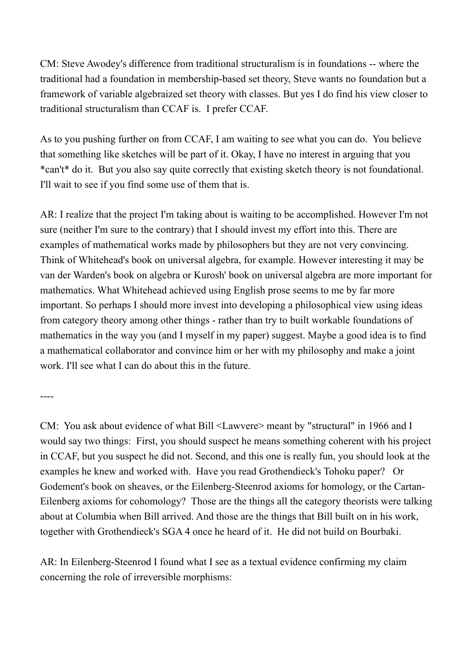CM: Steve Awodey's difference from traditional structuralism is in foundations -- where the traditional had a foundation in membership-based set theory, Steve wants no foundation but a framework of variable algebraized set theory with classes. But yes I do find his view closer to traditional structuralism than CCAF is. I prefer CCAF.

As to you pushing further on from CCAF, I am waiting to see what you can do. You believe that something like sketches will be part of it. Okay, I have no interest in arguing that you \*can't\* do it. But you also say quite correctly that existing sketch theory is not foundational. I'll wait to see if you find some use of them that is.

AR: I realize that the project I'm taking about is waiting to be accomplished. However I'm not sure (neither I'm sure to the contrary) that I should invest my effort into this. There are examples of mathematical works made by philosophers but they are not very convincing. Think of Whitehead's book on universal algebra, for example. However interesting it may be van der Warden's book on algebra or Kurosh' book on universal algebra are more important for mathematics. What Whitehead achieved using English prose seems to me by far more important. So perhaps I should more invest into developing a philosophical view using ideas from category theory among other things - rather than try to built workable foundations of mathematics in the way you (and I myself in my paper) suggest. Maybe a good idea is to find a mathematical collaborator and convince him or her with my philosophy and make a joint work. I'll see what I can do about this in the future.

----

CM: You ask about evidence of what Bill <Lawvere> meant by "structural" in 1966 and I would say two things: First, you should suspect he means something coherent with his project in CCAF, but you suspect he did not. Second, and this one is really fun, you should look at the examples he knew and worked with. Have you read Grothendieck's Tohoku paper? Or Godement's book on sheaves, or the Eilenberg-Steenrod axioms for homology, or the Cartan-Eilenberg axioms for cohomology? Those are the things all the category theorists were talking about at Columbia when Bill arrived. And those are the things that Bill built on in his work, together with Grothendieck's SGA 4 once he heard of it. He did not build on Bourbaki.

AR: In Eilenberg-Steenrod I found what I see as a textual evidence confirming my claim concerning the role of irreversible morphisms: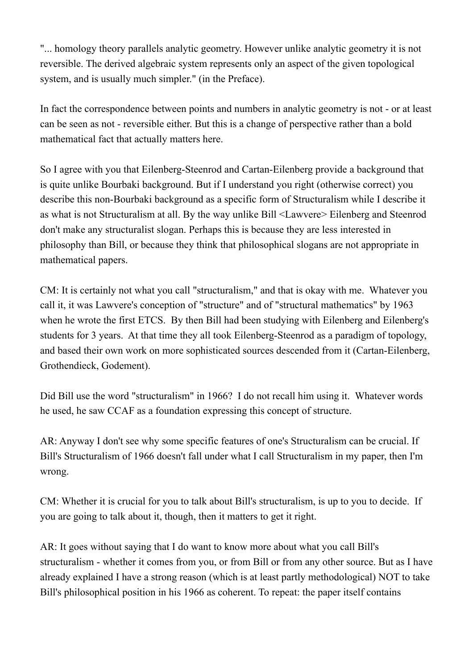"... homology theory parallels analytic geometry. However unlike analytic geometry it is not reversible. The derived algebraic system represents only an aspect of the given topological system, and is usually much simpler." (in the Preface).

In fact the correspondence between points and numbers in analytic geometry is not - or at least can be seen as not - reversible either. But this is a change of perspective rather than a bold mathematical fact that actually matters here.

So I agree with you that Eilenberg-Steenrod and Cartan-Eilenberg provide a background that is quite unlike Bourbaki background. But if I understand you right (otherwise correct) you describe this non-Bourbaki background as a specific form of Structuralism while I describe it as what is not Structuralism at all. By the way unlike Bill <Lawvere> Eilenberg and Steenrod don't make any structuralist slogan. Perhaps this is because they are less interested in philosophy than Bill, or because they think that philosophical slogans are not appropriate in mathematical papers.

CM: It is certainly not what you call "structuralism," and that is okay with me. Whatever you call it, it was Lawvere's conception of "structure" and of "structural mathematics" by 1963 when he wrote the first ETCS. By then Bill had been studying with Eilenberg and Eilenberg's students for 3 years. At that time they all took Eilenberg-Steenrod as a paradigm of topology, and based their own work on more sophisticated sources descended from it (Cartan-Eilenberg, Grothendieck, Godement).

Did Bill use the word "structuralism" in 1966? I do not recall him using it. Whatever words he used, he saw CCAF as a foundation expressing this concept of structure.

AR: Anyway I don't see why some specific features of one's Structuralism can be crucial. If Bill's Structuralism of 1966 doesn't fall under what I call Structuralism in my paper, then I'm wrong.

CM: Whether it is crucial for you to talk about Bill's structuralism, is up to you to decide. If you are going to talk about it, though, then it matters to get it right.

AR: It goes without saying that I do want to know more about what you call Bill's structuralism - whether it comes from you, or from Bill or from any other source. But as I have already explained I have a strong reason (which is at least partly methodological) NOT to take Bill's philosophical position in his 1966 as coherent. To repeat: the paper itself contains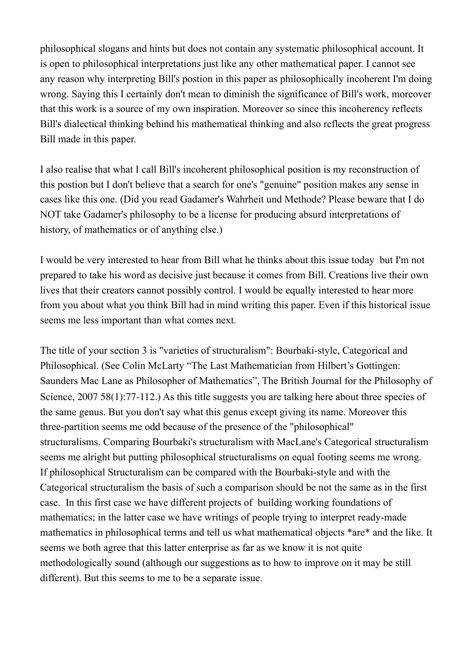philosophical slogans and hints but does not contain any systematic philosophical account. It is open to philosophical interpretations just like any other mathematical paper. I cannot see any reason why interpreting Bill's postion in this paper as philosophically incoherent I'm doing wrong. Saying this I certainly don't mean to diminish the significance of Bill's work, moreover that this work is a source of my own inspiration. Moreover so since this incoherency reflects Bill's dialectical thinking behind his mathematical thinking and also reflects the great progress Bill made in this paper.

I also realise that what I call Bill's incoherent philosophical position is my reconstruction of this postion but I don't believe that a search for one's "genuine" position makes any sense in cases like this one. (Did you read Gadamer's Wahrheit und Methode? Please beware that I do NOT take Gadamer's philosophy to be a license for producing absurd interpretations of history, of mathematics or of anything else.)

I would be very interested to hear from Bill what he thinks about this issue today but I'm not prepared to take his word as decisive just because it comes from Bill. Creations live their own lives that their creators cannot possibly control. I would be equally interested to hear more from you about what you think Bill had in mind writing this paper. Even if this historical issue seems me less important than what comes next.

The title of your section 3 is "varieties of structuralism": Bourbaki-style, Categorical and Philosophical. (See Colin McLarty "The Last Mathematician from Hilbert's Gottingen: Saunders Mac Lane as Philosopher of Mathematics", The British Journal for the Philosophy of Science, 2007 58(1):77-112.) As this title suggests you are talking here about three species of the same genus. But you don't say what this genus except giving its name. Moreover this three-partition seems me odd because of the presence of the "philosophical" structuralisms. Comparing Bourbaki's structuralism with MacLane's Categorical structuralism seems me alright but putting philosophical structuralisms on equal footing seems me wrong. If philosophical Structuralism can be compared with the Bourbaki-style and with the Categorical structuralism the basis of such a comparison should be not the same as in the first case. In this first case we have different projects of building working foundations of mathematics; in the latter case we have writings of people trying to interpret ready-made mathematics in philosophical terms and tell us what mathematical objects \*are\* and the like. It seems we both agree that this latter enterprise as far as we know it is not quite methodologically sound (although our suggestions as to how to improve on it may be still different). But this seems to me to be a separate issue.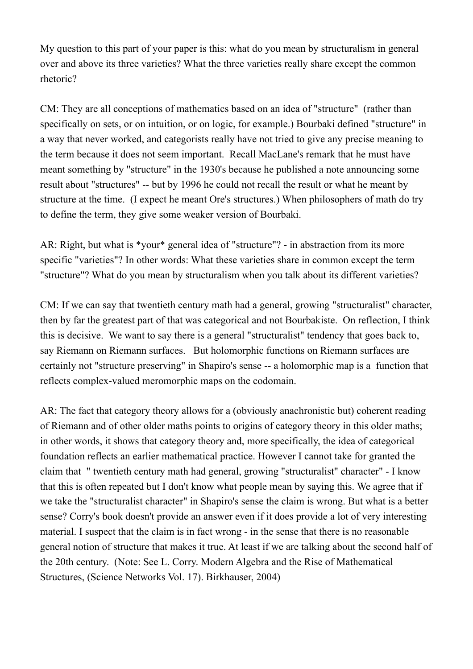My question to this part of your paper is this: what do you mean by structuralism in general over and above its three varieties? What the three varieties really share except the common rhetoric?

CM: They are all conceptions of mathematics based on an idea of "structure" (rather than specifically on sets, or on intuition, or on logic, for example.) Bourbaki defined "structure" in a way that never worked, and categorists really have not tried to give any precise meaning to the term because it does not seem important. Recall MacLane's remark that he must have meant something by "structure" in the 1930's because he published a note announcing some result about "structures" -- but by 1996 he could not recall the result or what he meant by structure at the time. (I expect he meant Ore's structures.) When philosophers of math do try to define the term, they give some weaker version of Bourbaki.

AR: Right, but what is \*your\* general idea of "structure"? - in abstraction from its more specific "varieties"? In other words: What these varieties share in common except the term "structure"? What do you mean by structuralism when you talk about its different varieties?

CM: If we can say that twentieth century math had a general, growing "structuralist" character, then by far the greatest part of that was categorical and not Bourbakiste. On reflection, I think this is decisive. We want to say there is a general "structuralist" tendency that goes back to, say Riemann on Riemann surfaces. But holomorphic functions on Riemann surfaces are certainly not "structure preserving" in Shapiro's sense -- a holomorphic map is a function that reflects complex-valued meromorphic maps on the codomain.

AR: The fact that category theory allows for a (obviously anachronistic but) coherent reading of Riemann and of other older maths points to origins of category theory in this older maths; in other words, it shows that category theory and, more specifically, the idea of categorical foundation reflects an earlier mathematical practice. However I cannot take for granted the claim that " twentieth century math had general, growing "structuralist" character" - I know that this is often repeated but I don't know what people mean by saying this. We agree that if we take the "structuralist character" in Shapiro's sense the claim is wrong. But what is a better sense? Corry's book doesn't provide an answer even if it does provide a lot of very interesting material. I suspect that the claim is in fact wrong - in the sense that there is no reasonable general notion of structure that makes it true. At least if we are talking about the second half of the 20th century. (Note: See L. Corry. Modern Algebra and the Rise of Mathematical Structures, (Science Networks Vol. 17). Birkhauser, 2004)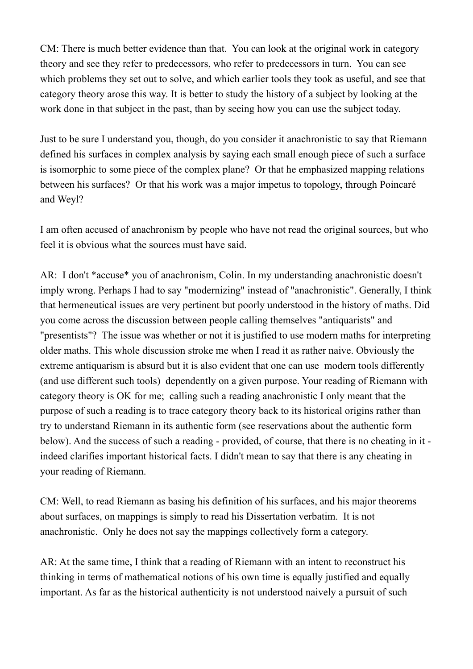CM: There is much better evidence than that. You can look at the original work in category theory and see they refer to predecessors, who refer to predecessors in turn. You can see which problems they set out to solve, and which earlier tools they took as useful, and see that category theory arose this way. It is better to study the history of a subject by looking at the work done in that subject in the past, than by seeing how you can use the subject today.

Just to be sure I understand you, though, do you consider it anachronistic to say that Riemann defined his surfaces in complex analysis by saying each small enough piece of such a surface is isomorphic to some piece of the complex plane? Or that he emphasized mapping relations between his surfaces? Or that his work was a major impetus to topology, through Poincaré and Weyl?

I am often accused of anachronism by people who have not read the original sources, but who feel it is obvious what the sources must have said.

AR: I don't \*accuse\* you of anachronism, Colin. In my understanding anachronistic doesn't imply wrong. Perhaps I had to say "modernizing" instead of "anachronistic". Generally, I think that hermeneutical issues are very pertinent but poorly understood in the history of maths. Did you come across the discussion between people calling themselves "antiquarists" and "presentists"? The issue was whether or not it is justified to use modern maths for interpreting older maths. This whole discussion stroke me when I read it as rather naive. Obviously the extreme antiquarism is absurd but it is also evident that one can use modern tools differently (and use different such tools) dependently on a given purpose. Your reading of Riemann with category theory is OK for me; calling such a reading anachronistic I only meant that the purpose of such a reading is to trace category theory back to its historical origins rather than try to understand Riemann in its authentic form (see reservations about the authentic form below). And the success of such a reading - provided, of course, that there is no cheating in it indeed clarifies important historical facts. I didn't mean to say that there is any cheating in your reading of Riemann.

CM: Well, to read Riemann as basing his definition of his surfaces, and his major theorems about surfaces, on mappings is simply to read his Dissertation verbatim. It is not anachronistic. Only he does not say the mappings collectively form a category.

AR: At the same time, I think that a reading of Riemann with an intent to reconstruct his thinking in terms of mathematical notions of his own time is equally justified and equally important. As far as the historical authenticity is not understood naively a pursuit of such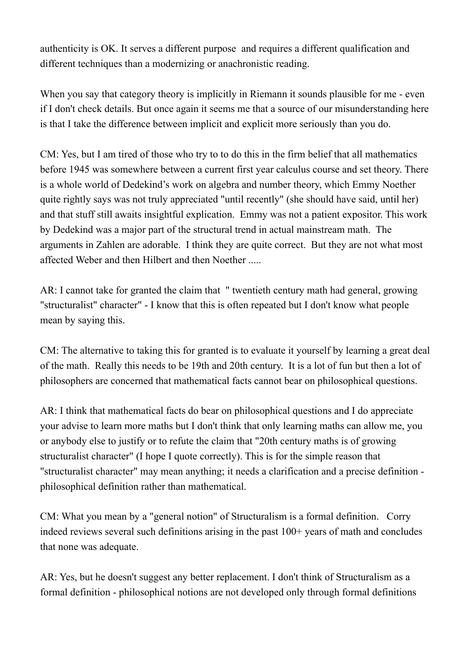authenticity is OK. It serves a different purpose and requires a different qualification and different techniques than a modernizing or anachronistic reading.

When you say that category theory is implicitly in Riemann it sounds plausible for me - even if I don't check details. But once again it seems me that a source of our misunderstanding here is that I take the difference between implicit and explicit more seriously than you do.

CM: Yes, but I am tired of those who try to to do this in the firm belief that all mathematics before 1945 was somewhere between a current first year calculus course and set theory. There is a whole world of Dedekind's work on algebra and number theory, which Emmy Noether quite rightly says was not truly appreciated "until recently" (she should have said, until her) and that stuff still awaits insightful explication. Emmy was not a patient expositor. This work by Dedekind was a major part of the structural trend in actual mainstream math. The arguments in Zahlen are adorable. I think they are quite correct. But they are not what most affected Weber and then Hilbert and then Noether .....

AR: I cannot take for granted the claim that " twentieth century math had general, growing "structuralist" character" - I know that this is often repeated but I don't know what people mean by saying this.

CM: The alternative to taking this for granted is to evaluate it yourself by learning a great deal of the math. Really this needs to be 19th and 20th century. It is a lot of fun but then a lot of philosophers are concerned that mathematical facts cannot bear on philosophical questions.

AR: I think that mathematical facts do bear on philosophical questions and I do appreciate your advise to learn more maths but I don't think that only learning maths can allow me, you or anybody else to justify or to refute the claim that "20th century maths is of growing structuralist character" (I hope I quote correctly). This is for the simple reason that "structuralist character" may mean anything; it needs a clarification and a precise definition philosophical definition rather than mathematical.

CM: What you mean by a "general notion" of Structuralism is a formal definition. Corry indeed reviews several such definitions arising in the past  $100+$  years of math and concludes that none was adequate.

AR: Yes, but he doesn't suggest any better replacement. I don't think of Structuralism as a formal definition - philosophical notions are not developed only through formal definitions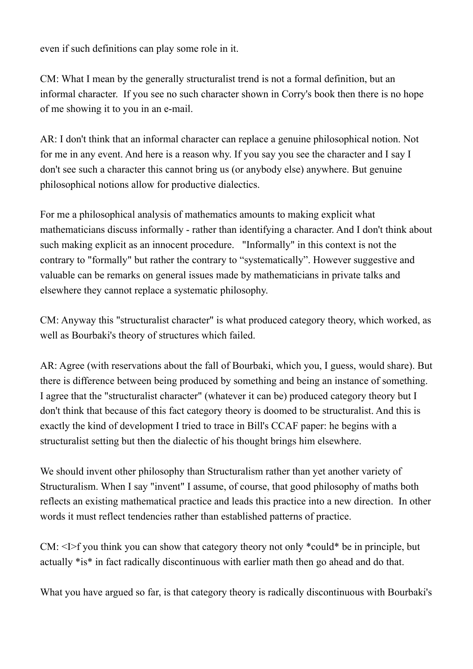even if such definitions can play some role in it.

CM: What I mean by the generally structuralist trend is not a formal definition, but an informal character. If you see no such character shown in Corry's book then there is no hope of me showing it to you in an e-mail.

AR: I don't think that an informal character can replace a genuine philosophical notion. Not for me in any event. And here is a reason why. If you say you see the character and I say I don't see such a character this cannot bring us (or anybody else) anywhere. But genuine philosophical notions allow for productive dialectics.

For me a philosophical analysis of mathematics amounts to making explicit what mathematicians discuss informally - rather than identifying a character. And I don't think about such making explicit as an innocent procedure. "Informally" in this context is not the contrary to "formally" but rather the contrary to "systematically". However suggestive and valuable can be remarks on general issues made by mathematicians in private talks and elsewhere they cannot replace a systematic philosophy.

CM: Anyway this "structuralist character" is what produced category theory, which worked, as well as Bourbaki's theory of structures which failed.

AR: Agree (with reservations about the fall of Bourbaki, which you, I guess, would share). But there is difference between being produced by something and being an instance of something. I agree that the "structuralist character" (whatever it can be) produced category theory but I don't think that because of this fact category theory is doomed to be structuralist. And this is exactly the kind of development I tried to trace in Bill's CCAF paper: he begins with a structuralist setting but then the dialectic of his thought brings him elsewhere.

We should invent other philosophy than Structuralism rather than yet another variety of Structuralism. When I say "invent" I assume, of course, that good philosophy of maths both reflects an existing mathematical practice and leads this practice into a new direction. In other words it must reflect tendencies rather than established patterns of practice.

CM: <I>f you think you can show that category theory not only \*could\* be in principle, but actually \*is\* in fact radically discontinuous with earlier math then go ahead and do that.

What you have argued so far, is that category theory is radically discontinuous with Bourbaki's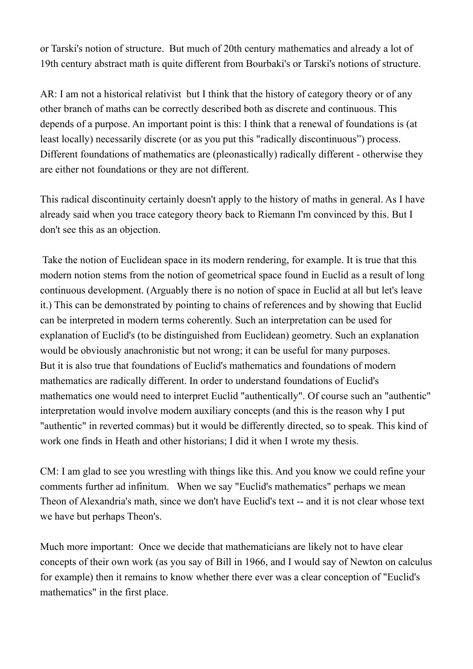or Tarski's notion of structure. But much of 20th century mathematics and already a lot of 19th century abstract math is quite different from Bourbaki's or Tarski's notions of structure.

AR: I am not a historical relativist but I think that the history of category theory or of any other branch of maths can be correctly described both as discrete and continuous. This depends of a purpose. An important point is this: I think that a renewal of foundations is (at least locally) necessarily discrete (or as you put this "radically discontinuous") process. Different foundations of mathematics are (pleonastically) radically different - otherwise they are either not foundations or they are not different.

This radical discontinuity certainly doesn't apply to the history of maths in general. As I have already said when you trace category theory back to Riemann I'm convinced by this. But I don't see this as an objection.

Take the notion of Euclidean space in its modern rendering, for example. It is true that this modern notion stems from the notion of geometrical space found in Euclid as a result of long continuous development. (Arguably there is no notion of space in Euclid at all but let's leave it.) This can be demonstrated by pointing to chains of references and by showing that Euclid can be interpreted in modern terms coherently. Such an interpretation can be used for explanation of Euclid's (to be distinguished from Euclidean) geometry. Such an explanation would be obviously anachronistic but not wrong; it can be useful for many purposes. But it is also true that foundations of Euclid's mathematics and foundations of modern mathematics are radically different. In order to understand foundations of Euclid's mathematics one would need to interpret Euclid "authentically". Of course such an "authentic" interpretation would involve modern auxiliary concepts (and this is the reason why I put "authentic" in reverted commas) but it would be differently directed, so to speak. This kind of work one finds in Heath and other historians; I did it when I wrote my thesis.

CM: I am glad to see you wrestling with things like this. And you know we could refine your comments further ad infinitum. When we say "Euclid's mathematics" perhaps we mean Theon of Alexandria's math, since we don't have Euclid's text -- and it is not clear whose text we have but perhaps Theon's.

Much more important: Once we decide that mathematicians are likely not to have clear concepts of their own work (as you say of Bill in 1966, and I would say of Newton on calculus for example) then it remains to know whether there ever was a clear conception of "Euclid's mathematics" in the first place.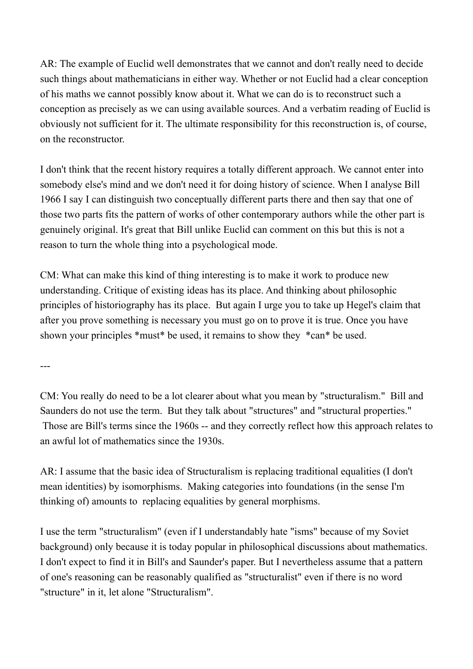AR: The example of Euclid well demonstrates that we cannot and don't really need to decide such things about mathematicians in either way. Whether or not Euclid had a clear conception of his maths we cannot possibly know about it. What we can do is to reconstruct such a conception as precisely as we can using available sources. And a verbatim reading of Euclid is obviously not sufficient for it. The ultimate responsibility for this reconstruction is, of course, on the reconstructor.

I don't think that the recent history requires a totally different approach. We cannot enter into somebody else's mind and we don't need it for doing history of science. When I analyse Bill 1966 I say I can distinguish two conceptually different parts there and then say that one of those two parts fits the pattern of works of other contemporary authors while the other part is genuinely original. It's great that Bill unlike Euclid can comment on this but this is not a reason to turn the whole thing into a psychological mode.

CM: What can make this kind of thing interesting is to make it work to produce new understanding. Critique of existing ideas has its place. And thinking about philosophic principles of historiography has its place. But again I urge you to take up Hegel's claim that after you prove something is necessary you must go on to prove it is true. Once you have shown your principles \*must\* be used, it remains to show they \*can\* be used.

---

CM: You really do need to be a lot clearer about what you mean by "structuralism." Bill and Saunders do not use the term. But they talk about "structures" and "structural properties." Those are Bill's terms since the 1960s -- and they correctly reflect how this approach relates to an awful lot of mathematics since the 1930s.

AR: I assume that the basic idea of Structuralism is replacing traditional equalities (I don't mean identities) by isomorphisms. Making categories into foundations (in the sense I'm thinking of) amounts to replacing equalities by general morphisms.

I use the term "structuralism" (even if I understandably hate "isms" because of my Soviet background) only because it is today popular in philosophical discussions about mathematics. I don't expect to find it in Bill's and Saunder's paper. But I nevertheless assume that a pattern of one's reasoning can be reasonably qualified as "structuralist" even if there is no word "structure" in it, let alone "Structuralism".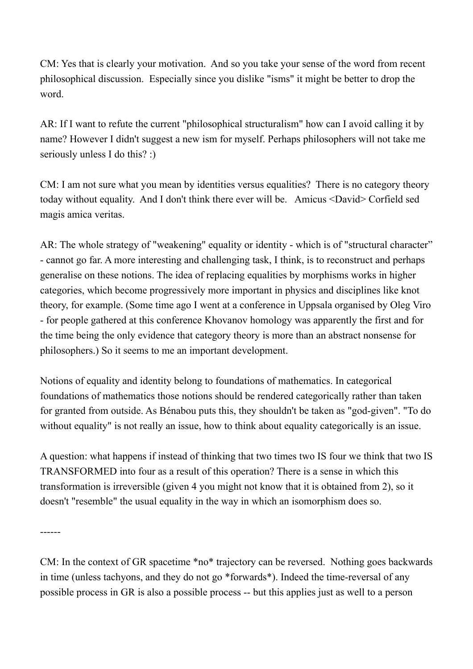CM: Yes that is clearly your motivation. And so you take your sense of the word from recent philosophical discussion. Especially since you dislike "isms" it might be better to drop the word.

AR: If I want to refute the current "philosophical structuralism" how can I avoid calling it by name? However I didn't suggest a new ism for myself. Perhaps philosophers will not take me seriously unless I do this? :)

CM: I am not sure what you mean by identities versus equalities? There is no category theory today without equality. And I don't think there ever will be. Amicus <David> Corfield sed magis amica veritas.

AR: The whole strategy of "weakening" equality or identity - which is of "structural character" - cannot go far. A more interesting and challenging task, I think, is to reconstruct and perhaps generalise on these notions. The idea of replacing equalities by morphisms works in higher categories, which become progressively more important in physics and disciplines like knot theory, for example. (Some time ago I went at a conference in Uppsala organised by Oleg Viro - for people gathered at this conference Khovanov homology was apparently the first and for the time being the only evidence that category theory is more than an abstract nonsense for philosophers.) So it seems to me an important development.

Notions of equality and identity belong to foundations of mathematics. In categorical foundations of mathematics those notions should be rendered categorically rather than taken for granted from outside. As Bénabou puts this, they shouldn't be taken as "god-given". "To do without equality" is not really an issue, how to think about equality categorically is an issue.

A question: what happens if instead of thinking that two times two IS four we think that two IS TRANSFORMED into four as a result of this operation? There is a sense in which this transformation is irreversible (given 4 you might not know that it is obtained from 2), so it doesn't "resemble" the usual equality in the way in which an isomorphism does so.

------

CM: In the context of GR spacetime \*no\* trajectory can be reversed. Nothing goes backwards in time (unless tachyons, and they do not go \*forwards\*). Indeed the time-reversal of any possible process in GR is also a possible process -- but this applies just as well to a person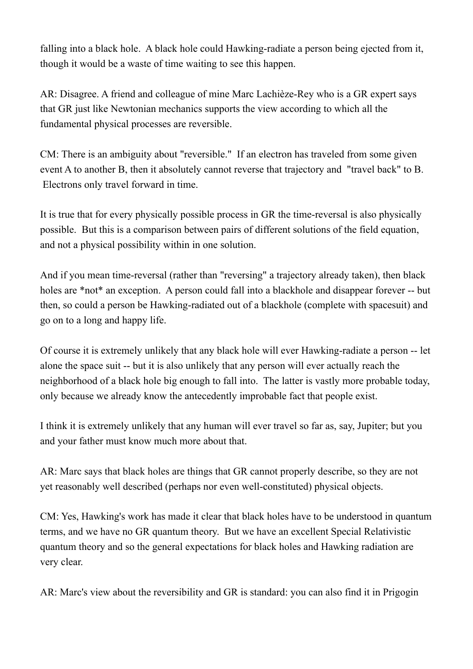falling into a black hole. A black hole could Hawking-radiate a person being ejected from it, though it would be a waste of time waiting to see this happen.

AR: Disagree. A friend and colleague of mine Marc Lachièze-Rey who is a GR expert says that GR just like Newtonian mechanics supports the view according to which all the fundamental physical processes are reversible.

CM: There is an ambiguity about "reversible." If an electron has traveled from some given event A to another B, then it absolutely cannot reverse that trajectory and "travel back" to B. Electrons only travel forward in time.

It is true that for every physically possible process in GR the time-reversal is also physically possible. But this is a comparison between pairs of different solutions of the field equation, and not a physical possibility within in one solution.

And if you mean time-reversal (rather than "reversing" a trajectory already taken), then black holes are \*not\* an exception. A person could fall into a blackhole and disappear forever -- but then, so could a person be Hawking-radiated out of a blackhole (complete with spacesuit) and go on to a long and happy life.

Of course it is extremely unlikely that any black hole will ever Hawking-radiate a person -- let alone the space suit -- but it is also unlikely that any person will ever actually reach the neighborhood of a black hole big enough to fall into. The latter is vastly more probable today, only because we already know the antecedently improbable fact that people exist.

I think it is extremely unlikely that any human will ever travel so far as, say, Jupiter; but you and your father must know much more about that.

AR: Marc says that black holes are things that GR cannot properly describe, so they are not yet reasonably well described (perhaps nor even well-constituted) physical objects.

CM: Yes, Hawking's work has made it clear that black holes have to be understood in quantum terms, and we have no GR quantum theory. But we have an excellent Special Relativistic quantum theory and so the general expectations for black holes and Hawking radiation are very clear.

AR: Marc's view about the reversibility and GR is standard: you can also find it in Prigogin